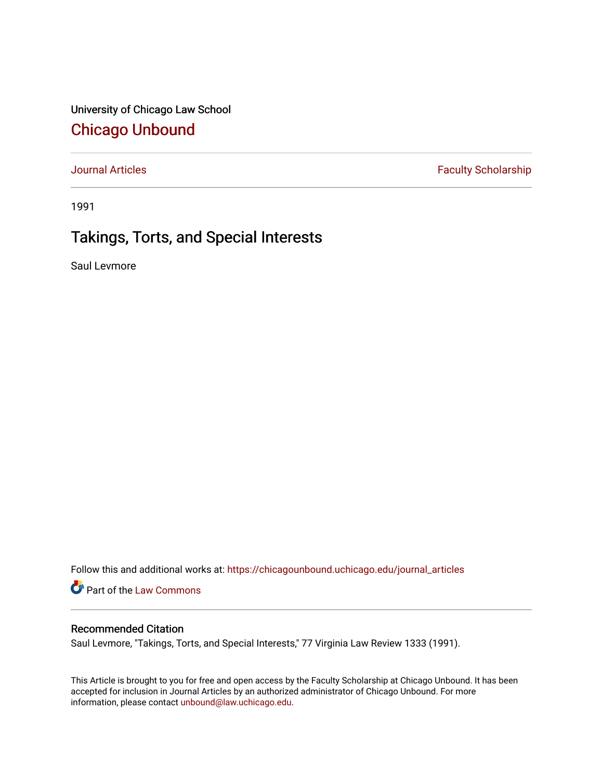University of Chicago Law School [Chicago Unbound](https://chicagounbound.uchicago.edu/)

[Journal Articles](https://chicagounbound.uchicago.edu/journal_articles) **Faculty Scholarship Faculty Scholarship** 

1991

# Takings, Torts, and Special Interests

Saul Levmore

Follow this and additional works at: [https://chicagounbound.uchicago.edu/journal\\_articles](https://chicagounbound.uchicago.edu/journal_articles?utm_source=chicagounbound.uchicago.edu%2Fjournal_articles%2F1601&utm_medium=PDF&utm_campaign=PDFCoverPages) 

Part of the [Law Commons](http://network.bepress.com/hgg/discipline/578?utm_source=chicagounbound.uchicago.edu%2Fjournal_articles%2F1601&utm_medium=PDF&utm_campaign=PDFCoverPages)

# Recommended Citation

Saul Levmore, "Takings, Torts, and Special Interests," 77 Virginia Law Review 1333 (1991).

This Article is brought to you for free and open access by the Faculty Scholarship at Chicago Unbound. It has been accepted for inclusion in Journal Articles by an authorized administrator of Chicago Unbound. For more information, please contact [unbound@law.uchicago.edu](mailto:unbound@law.uchicago.edu).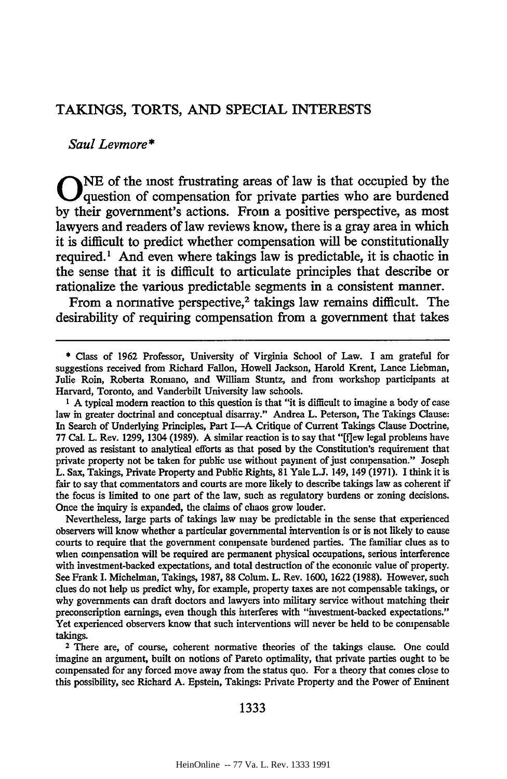## **TAKINGS, TORTS, AND SPECIAL INTERESTS**

#### *Saul Levmore\**

**NE** of the most frustrating areas of law is that occupied **by** the question of compensation for private parties who are burdened **by** their government's actions. From a positive perspective, as most lawyers and readers of law reviews know, there is a gray area in which it is difficult to predict whether compensation will be constitutionally required.<sup>1</sup> And even where takings law is predictable, it is chaotic in the sense that it is difficult to articulate principles that describe or rationalize the various predictable segments in a consistent manner.

From a normative perspective, $2$  takings law remains difficult. The desirability of requiring compensation from a government that takes

Nevertheless, large parts of takings law may be predictable in the sense that experienced observers will know whether a particular governmental intervention is or is not likely to cause courts to require that the government compensate burdened parties. The familiar clues as to when compensation will be required are permanent physical occupations, serious interference with investment-backed expectations, and total destruction of the economic value of property. See Frank I. Michelman, Takings, 1987, 88 Colum. L. Rev. 1600, 1622 (1988). However, such clues do not help us predict why, for example, property taxes are not compensable takings, or why governments can draft doctors and lawyers into military service without matching their preconscription earnings, even though this interferes with "investment-backed expectations." Yet experienced observers know that such interventions will never be held to be compensable takings.

2 There are, of course, coherent normative theories of the takings clause. One could imagine an argument, built on notions of Pareto optimality, that private parties ought to be compensated for any forced move away from the status quo. For a theory that comes close to this possibility, see Richard A. Epstein, Takings: Private Property and the Power of Eminent

#### 1333

<sup>\*</sup> Class of 1962 Professor, University of Virginia School of Law. I am grateful for suggestions received from Richard Fallon, Howell Jackson, Harold Krent, Lance Liebman, Julie Roin, Roberta Romano, and William Stuntz, and from workshop participants at Harvard, Toronto, and Vanderbilt University law schools.

**I** A typical modem reaction to this question is that "it is diffcult to imagine a body of case law in greater doctrinal and conceptual disarray." Andrea L. Peterson, The Takings Clause: In Search of Underlying Principles, Part I-A Critique of Current Takings Clause Doctrine, 77 Cal. L. Rev. 1299, 1304 (1989). A similar reaction is to say that "[flew legal problems have proved as resistant to analytical efforts as that posed by the Constitution's requirement that private property not be taken for public use without payment of just compensation." Joseph L. Sax, Takings, Private Property and Public Rights, 81 Yale L.J. 149, 149 (1971). I think it is fair to say that commentators and courts are more likely to describe takings law as coherent if the focus is limited to one part of the law, such as regulatory burdens or zoning decisions. Once the inquiry is expanded, the claims of chaos grow louder.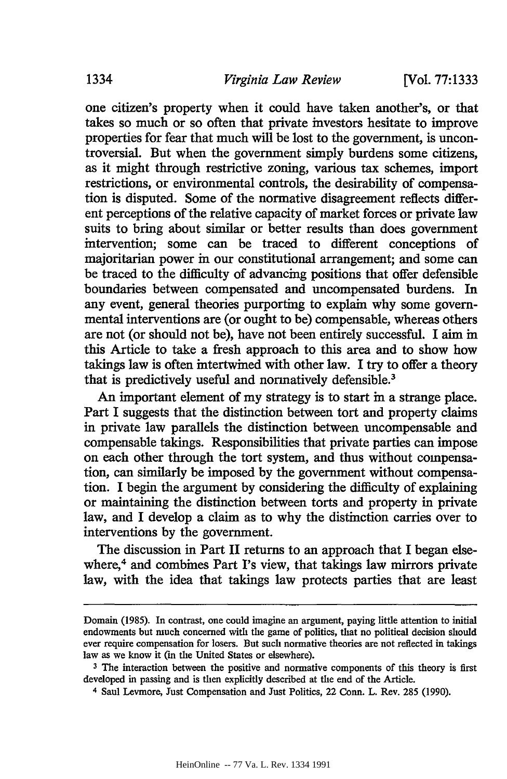one citizen's property when it could have taken another's, or that takes so much or so often that private investors hesitate to improve properties for fear that much will be lost to the government, is uncontroversial. But when the government simply burdens some citizens, as it might through restrictive zoning, various tax schemes, import restrictions, or environmental controls, the desirability of compensation is disputed. Some of the normative disagreement reflects different perceptions of the relative capacity of market forces or private law suits to bring about similar or better results than does government intervention; some can be traced to different conceptions of majoritarian power in our constitutional arrangement; and some can be traced to the difficulty of advancing positions that offer defensible boundaries between compensated and uncompensated burdens. In any event, general theories purporting to explain why some governmental interventions are (or ought to be) compensable, whereas others are not (or should not be), have not been entirely successful. I aim in this Article to take a fresh approach to this area and to show how takings law is often intertwined with other law. I try to offer a theory that is predictively useful and normatively defensible.<sup>3</sup>

An important element of my strategy is to start in a strange place. Part I suggests that the distinction between tort and property claims in private law parallels the distinction between uncompensable and compensable takings. Responsibilities that private parties can impose on each other through the tort system, and thus without compensation, can similarly be imposed by the government without compensation. I begin the argument by considering the difficulty of explaining or maintaining the distinction between torts and property in private law, and I develop a claim as to why the distinction carries over to interventions by the government.

The discussion in Part II returns to an approach that I began elsewhere,<sup>4</sup> and combines Part I's view, that takings law mirrors private law, with the idea that takings law protects parties that are least

Domain (1985). In contrast, one could imagine an argument, paying little attention to initial endowments but much concerned with the game of politics, that no political decision should ever require compensation for losers. But such normative theories are not reflected in takings law as we know it (in the United States or elsewhere).

**<sup>3</sup>** The interaction between the positive and normative components of this theory is first developed in passing and is then explicitly described at the end of the Article.

**<sup>4</sup>** Saul Levmore, Just Compensation and Just Politics, 22 Conn. L. Rev. **285 (1990).**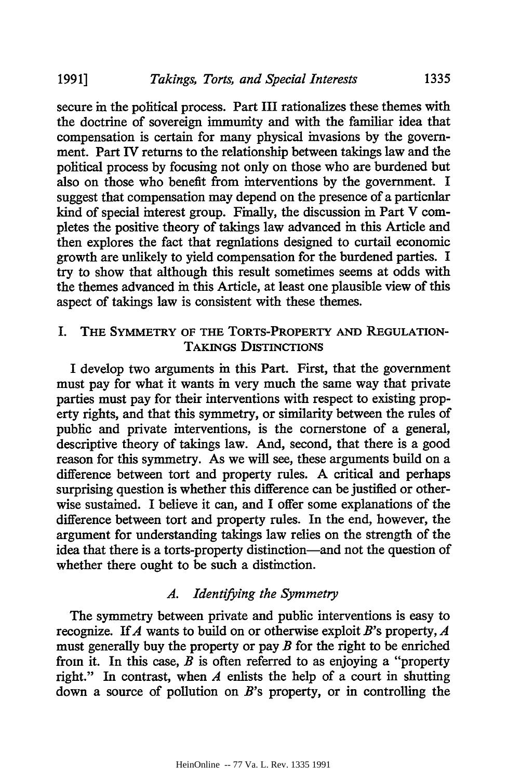secure in the political process. Part III rationalizes these themes with the doctrine of sovereign immunity and with the familiar idea that compensation is certain for many physical invasions by the government. Part IV returns to the relationship between takings law and the political process by focusing not only on those who are burdened but also on those who benefit from interventions by the government. I suggest that compensation may depend on the presence of a particular kind of special interest group. Finally, the discussion in Part V completes the positive theory of takings law advanced in this Article and then explores the fact that regulations designed to curtail economic growth are unlikely to yield compensation for the burdened parties. I try to show that although this result sometimes seems at odds with the themes advanced in this Article, at least one plausible view of this aspect of takings law is consistent with these themes.

## I. THE SYMMETRY OF THE TORTS-PROPERTY AND REGULATION-TAKINGS DISTINCTIONS

I develop two arguments in this Part. First, that the government must pay for what it wants in very much the same way that private parties must pay for their interventions with respect to existing property rights, and that this symmetry, or similarity between the rules of public and private interventions, is the cornerstone of a general, descriptive theory of takings law. And, second, that there is a good reason for this symmetry. As we will see, these arguments build on a difference between tort and property rules. A critical and perhaps surprising question is whether this difference can be justified or otherwise sustained. I believe it can, and I offer some explanations of the difference between tort and property rules. In the end, however, the argument for understanding takings law relies on the strength of the idea that there is a torts-property distinction-and not the question of whether there ought to be such a distinction.

#### *A. Identifying the Symmetry*

The symmetry between private and public interventions is easy to recognize. If *A* wants to build on or otherwise exploit *B's* property, *A* must generally buy the property or pay *B* for the right to be enriched from it. In this case, *B* is often referred to as enjoying a "property right." In contrast, when *A* enlists the help of a court in shutting down a source of pollution on *B's* property, or in controlling the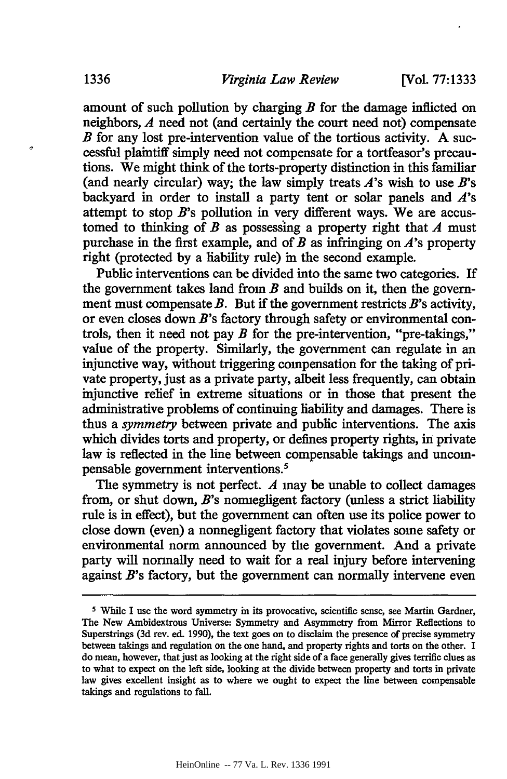amount of such pollution by charging *B* for the damage inflicted on neighbors, *A* need not (and certainly the court need not) compensate *B* for any lost pre-intervention value of the tortious activity. A successful plaintiff simply need not compensate for a tortfeasor's precautions. We might think of the torts-property distinction in this familiar (and nearly circular) way; the law simply treats  $A$ 's wish to use  $B$ 's backyard in order to install a party tent or solar panels and  $A$ 's attempt to stop B's pollution in very different ways. We are accustomed to thinking of *B* as possessing a property right that *A* must purchase in the first example, and of *B* as infringing on A's property right (protected by a liability rule) in the second example.

Public interventions can be divided into the same two categories. If the government takes land from *B* and builds on it, then the government must compensate  $B$ . But if the government restricts  $B$ 's activity, or even closes down B's factory through safety or environmental controls, then it need not pay *B* for the pre-intervention, "pre-takings," value of the property. Similarly, the government can regulate in an injunctive way, without triggering compensation for the taking of private property, just as a private party, albeit less frequently, can obtain injunctive relief in extreme situations or in those that present the administrative problems of continuing liability and damages. There is thus a *symmetry* between private and public interventions. The axis which divides torts and property, or defines property rights, in private law is reflected in the line between compensable takings and uncompensable government interventions.5

The symmetry is not perfect.  $A$  may be unable to collect damages from, or shut down, B's nonnegligent factory (unless a strict liability rule is in effect), but the government can often use its police power to close down (even) a nonnegligent factory that violates some safety or environmental norm announced by the government. And a private party will normally need to wait for a real injury before intervening against  $B$ 's factory, but the government can normally intervene even

**<sup>5</sup>** While I use the word symmetry in its provocative, scientific sense, see Martin Gardner, The New Ambidextrous Universe: Symmetry and Asymmetry from Mirror Reflections to Superstrings (3d rev. ed. 1990), the text goes on to disclaim the presence of precise symmetry between takings and regulation on the one hand, and property rights and torts on the other. I do mean, however, that just as looking at the right side of a face generally gives terrific clues as to what to expect on the left side, looking at the divide between property and torts in private law gives excellent insight as to where we ought to expect the line between compensable takings and regulations to fall.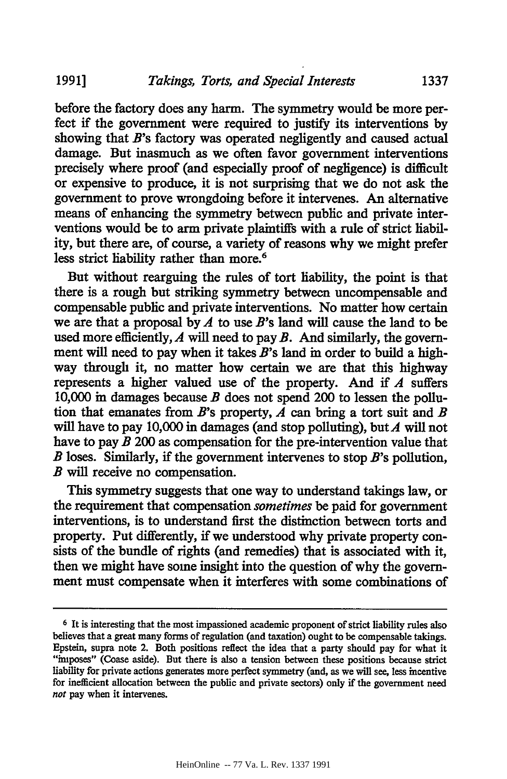before the factory does any harm. The symmetry would be more perfect if the government were required to justify its interventions **by** showing that B's factory was operated negligently and caused actual damage. But inasmuch as we often favor government interventions precisely where proof (and especially proof of negligence) is difficult or expensive to produce, it is not surprising that we do not ask the government to prove wrongdoing before it intervenes. An alternative means of enhancing the symmetry between public and private interventions would be to arm private plaintiffs with a rule of strict liability, but there are, of course, a variety of reasons why we might prefer less strict liability rather than more.<sup>6</sup>

But without rearguing the rules of tort liability, the point is that there is a rough but striking symmetry between uncompensable and compensable public and private interventions. No matter how certain we are that a proposal by *A* to use *B's* land will cause the land to be used more efficiently, *A* will need to pay *B.* And similarly, the government will need to pay when it takes *B's* land in order to build a highway through it, no matter how certain we are that this highway represents a higher valued use of the property. And if *A* suffers 10,000 in damages because *B* does not spend 200 to lessen the pollution that emanates from *B's* property, *A* can bring a tort suit and *B* will have to pay 10,000 in damages (and stop polluting), but  $A$  will not have to pay *B* 200 as compensation for the pre-intervention value that *B* loses. Similarly, if the government intervenes to stop *B's* pollution, *B* will receive no compensation.

This symmetry suggests that one way to understand takings law, or the requirement that compensation *sometimes* be paid for government interventions, is to understand first the distinction between torts and property. Put differently, if we understood why private property consists of the bundle of rights (and remedies) that is associated with it, then we might have some insight into the question of why the government must compensate when it interferes with some combinations of

**<sup>6</sup>** It is interesting that the most impassioned academic proponent of strict liability rules also believes that a great many forms of regulation (and taxation) ought to be compensable takings. Epstein, supra note 2. Both positions reflect the idea that a party should pay for what it "imposes" (Coase aside). But there is also a tension between these positions because strict liability for private actions generates more perfect symmetry (and, as we will see, less incentive for inefficient allocation between the public and private sectors) only if the government need not pay when it intervenes.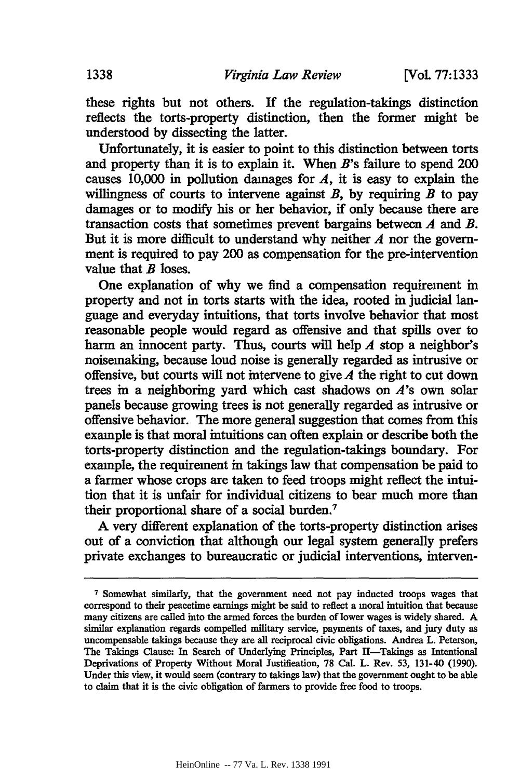these rights but not others. If the regulation-takings distinction reflects the torts-property distinction, then the former might be understood **by** dissecting the latter.

Unfortunately, it is easier to point to this distinction between torts and property than it is to explain it. When *B's* **failure** to spend 200 causes **10,000** in pollution damages for *A,* it is easy to explain the willingness of courts to intervene against  $B$ , by requiring  $B$  to pay damages or to modify his or her behavior, if only because there are transaction costs that sometimes prevent bargains between *A* and *B.* But it is more difficult to understand why neither *A* nor the government is required to pay 200 as compensation for the pre-intervention value that *B* loses.

One explanation of why we find a compensation requirement in property and not in torts starts with the idea, rooted in judicial language and everyday intuitions, that torts involve behavior that most reasonable people would regard as offensive and that spills over to harm an innocent party. Thus, courts will help *A* stop a neighbor's noisemaking, because loud noise is generally regarded as intrusive or offensive, but courts will not intervene to give *A* the right to cut down trees in a neighboring yard which cast shadows on  $A$ 's own solar panels because growing trees is not generally regarded as intrusive or offensive behavior. The more general suggestion that comes from this example is that moral intuitions can often explain or describe both the torts-property distinction and the regulation-takings boundary. For example, the requirement in takings law that compensation be paid to a farmer whose crops are taken to feed troops might reflect the intuition that it is unfair for individual citizens to bear much more than their proportional share of a social burden.7

A very different explanation of the torts-property distinction arises out of a conviction that although our legal system generally prefers private exchanges to bureaucratic or judicial interventions, interven-

<sup>7</sup> Somewhat similarly, that the government need not pay inducted troops wages that correspond to their peacetime earnings might be said to reflect a moral intuition that because many citizens are called into the armed forces the burden of lower wages is widely shared. **A** similar explanation regards compelled military service, payments of taxes, and jury duty as uncompensable takings because they are all reciprocal civic obligations. Andrea L. Peterson, The Takings Clause: In Search of Underlying Principles, Part II-Takings as Intentional Deprivations of Property Without Moral Justification, **78** Cal. L. Rev. **53,** 131-40 **(1990).** Under this view, it would seem (contrary to takings law) that the government ought to be able to claim that it is the civic obligation of farmers to provide free food to troops.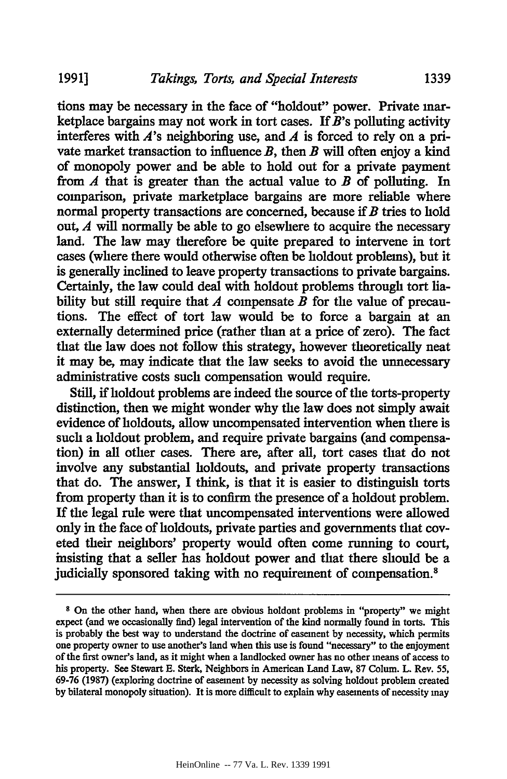tions may be necessary in the face of "holdout" power. Private marketplace bargains may not work in tort cases. If *B's* polluting activity interferes with *A's* neighboring use, and *A* is forced to rely on a private market transaction to influence *B,* then *B* will often enjoy a kind of monopoly power and be able to hold out for a private payment from *A* that is greater than the actual value to *B* of polluting. In comparison, private marketplace bargains are more reliable where normal property transactions are concerned, because if *B* tries to hold out, *A* will normally be able to go elsewhere to acquire the necessary land. The law may therefore be quite prepared to intervene in tort cases (where there would otherwise often be holdout problems), but it is generally inclined to leave property transactions to private bargains. Certainly, the law could deal with holdout problems through tort liability but still require that *A* compensate *B* for the value of precautions. The effect of tort law would be to force a bargain at an externally determined price (rather than at a price of zero). The fact that the law does not follow this strategy, however theoretically neat it may be, may indicate that the law seeks to avoid the unnecessary administrative costs such compensation would require.

Still, if holdout problems are indeed the source of the torts-property distinction, then we might wonder why the law does not simply await evidence of holdouts, allow uncompensated intervention when there is such a holdout problem, and require private bargains (and compensation) in all other cases. There are, after all, tort cases that do not involve any substantial holdouts, and private property transactions that do. The answer, I think, is that it is easier to distinguish torts from property than it is to confirm the presence of a holdout problem. If the legal rule were that uncompensated interventions were allowed only in the face of holdouts, private parties and governments that coveted their neighbors' property would often come running to court, insisting that a seller has holdout power and that there should be a judicially sponsored taking with no requirement of compensation.<sup>8</sup>

**s** On the other hand, when there are obvious holdout problems in "property" we might expect (and we occasionally find) legal intervention of the kind normally found in torts. This is probably the best way to understand the doctrine of easement by necessity, which permits one property owner to use another's land when this use is found "necessary" to the enjoyment of the first owner's land, as it might when a landlocked owner has no other means of access to his property. See Stewart E. Sterk, Neighbors in American Land Law, **87** Colum. L. Rev. **55,** 69-76 (1987) (exploring doctrine of easement by necessity as solving holdout problem created by bilateral monopoly situation). It is more difficult to explain why easements of necessity may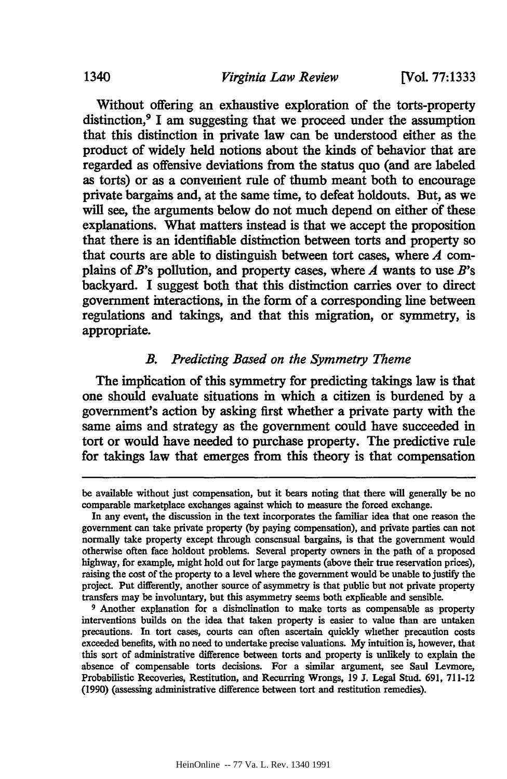Without offering an exhaustive exploration of the torts-property distinction, $9$  I am suggesting that we proceed under the assumption that this distinction in private law can be understood either as the product of widely held notions about the kinds of behavior that are regarded as offensive deviations from the status quo (and are labeled as torts) or as a convenient rule of thumb meant both to encourage private bargains and, at the same time, to defeat holdouts. But, as we will see, the arguments below do not much depend on either of these explanations. What matters instead is that we accept the proposition that there is an identifiable distinction between torts and property so that courts are able to distinguish between tort cases, where *A* complains of B's pollution, and property cases, where *A* wants to use B's backyard. I suggest both that this distinction carries over to direct government interactions, in the form of a corresponding line between regulations and takings, and that this migration, or symmetry, is appropriate.

## *B. Predicting Based on the Symmetry Theme*

The implication of this symmetry for predicting takings law is that one should evaluate situations in which a citizen is burdened by a government's action by asking first whether a private party with the same aims and strategy as the government could have succeeded in tort or would have needed to purchase property. The predictive rule for takings law that emerges from this theory is that compensation

be available without just compensation, but it bears noting that there will generally be no comparable marketplace exchanges against which to measure the forced exchange.

In any event, the discussion in the text incorporates the familiar idea that one reason the government can take private property **(by** paying compensation), and private parties can not normally take property except through consensual bargains, is that the government would otherwise often face holdout problems. Several property owners in the path of a proposed highway, for example, might hold out for large payments (above their true reservation prices), raising the cost of the property to a level where the government would be unable to justify the project. Put differently, another source of asymmetry is that public but not private property transfers may be involuntary, but this asymmetry seems both explicable and sensible.

<sup>9</sup> Another explanation for a disinclination to make torts as compensable as property interventions builds on the idea that taken property is easier to value than are untaken precautions. In tort cases, courts can often ascertain quickly whether precaution costs exceeded benefits, with no need to undertake precise valuations. **My** intuition is, however, that this sort of administrative difference between torts and property is unlikely to explain the absence of compensable torts decisions. For a similar argument, see Saul Levmore, Probabilistic Recoveries, Restitution, and Recurring Wrongs, 19 J. Legal Stud. 691, 711-12 **(1990)** (assessing administrative difference between tort and restitution remedies).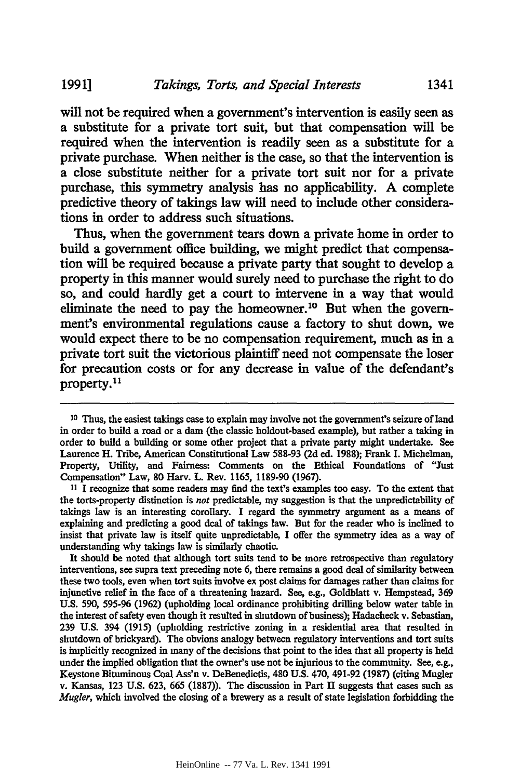will not be required when a government's intervention is easily seen as a substitute for a private tort suit, but that compensation will be required when the intervention is readily seen as a substitute for a private purchase. When neither is the case, so that the intervention is a close substitute neither for a private tort suit nor for a private purchase, this symmetry analysis has no applicability. **A** complete predictive theory of takings law will need to include other considerations in order to address such situations.

Thus, when the government tears down a private home in order to build a government office building, we might predict that compensation will be required because a private party that sought to develop a property in this manner would surely need to purchase the right to do so, and could hardly get a court to intervene in a way that would eliminate the need to pay the homeowner.<sup>10</sup> But when the government's environmental regulations cause a factory to shut down, we would expect there to be no compensation requirement, much as in a private tort suit the victorious plaintiff need not compensate the loser for precaution costs or for any decrease in value of the defendant's property.<sup>11</sup>

It should be noted that although tort suits tend to be more retrospective than regulatory interventions, see supra text preceding note 6, there remains a good deal of similarity between these two tools, even when tort suits involve ex post claims for damages rather than claims for injunctive relief in the face of a threatening hazard. See, e.g., Goldblatt v. Hempstead, 369 U.S. 590, 595-96 (1962) (upholding local ordinance prohibiting drilling below water table in the interest of safety even though it resulted in shutdown of business); Hadacheck v. Sebastian, 239 U.S. 394 (1915) (upholding restrictive zoning in a residential area that resulted in shutdown of brickyard). The obvions analogy between regulatory interventions and tort suits is implicitly recognized in many of the decisions that point to the idea that all property is held under the implied obligation that the owner's use not be injurious to the community. See, e.g., Keystone Bituminous Coal Ass'n v. DeBenedictis, 480 **U.S.** 470, 491-92 **(1987)** (citing Mugler v. Kansas, **123 U.S. 623, 665 (1887)).** The discussion in Part **II** suggests that cases such as *Mugler,* which involved the closing of a brewery as a result of state legislation forbidding the

**<sup>10</sup>** Thus, the easiest takings case to explain may involve not the government's seizure of land in order to build a road or a dam (the classic holdout-based example), but rather a taking in order to build a building or some other project that a private party might undertake. See Laurence H. Tribe, American Constitutional Law 588-93 (2d ed. 1988); Frank I. Michelman, Property, Utility, and Fairness: Comments on the Ethical Foundations of "Just Compensation" Law, **80** Harv. L. Rev. 1165, 1189-90 (1967).

**<sup>11</sup> 1** recognize that some readers may find the text's examples too easy. To the extent that the torts-property distinction is *not* predictable, my suggestion is that the unpredictability of takings law is an interesting corollary. I regard the symmetry argument as a means of explaining and predicting a good deal of takings law. But for the reader who is inclined to insist that private law is itself quite unpredictable, I offer the symmetry idea as a way of understanding why takings law is similarly chaotic.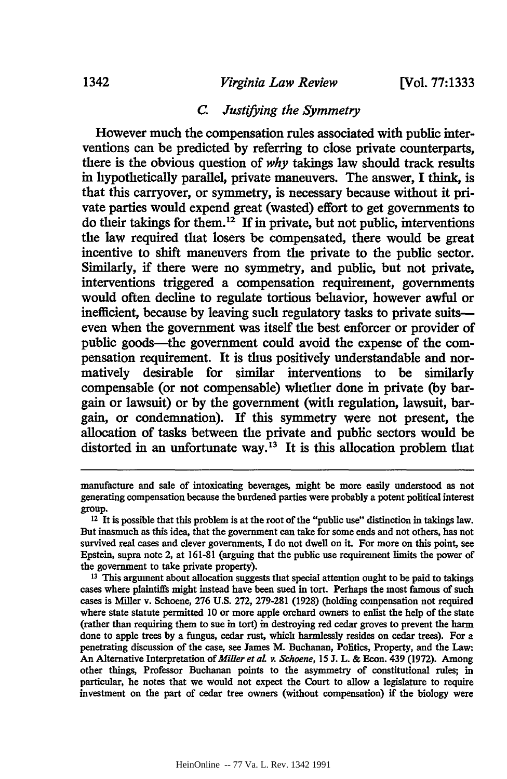#### *C. Justifying the Symmetry*

However much the compensation rules associated with public interventions can be predicted **by** referring to close private counterparts, there is the obvious question of *why* takings law should track results in hypothetically parallel, private maneuvers. The answer, I think, is that this carryover, or symmetry, is necessary because without it private parties would expend great (wasted) effort to get governments to do their takings for them.12 If in private, but not public, interventions the law required that losers be compensated, there would be great incentive to shift maneuvers from the private to the public sector. Similarly, if there were no symmetry, and public, but not private, interventions triggered a compensation requirement, governments would often decline to regulate tortious behavior, however awful or inefficient, because **by** leaving such regulatory tasks to private suitseven when the government was itself the best enforcer or provider of public goods-the government could avoid the expense of the compensation requirement. It is thus positively understandable and normatively desirable for similar interventions to be similarly compensable (or not compensable) whether done in private **(by** bargain or lawsuit) or **by** the government (with regulation, lawsuit, bargain, or condemnation). If this symmetry were not present, the allocation of tasks between the private and public sectors would be distorted in an unfortunate way.<sup>13</sup> It is this allocation problem that

**13** This argument about allocation suggests that special attention ought to be paid to takings cases where plaintiffs might instead have been sued in tort. Perhaps the most famous of such cases is **Miller** v. Schoene, **276 U.S. 272, 279-281 (1928)** (holding compensation not required where state statute permitted **10** or more apple orchard owners to enlist the help of the state (rather than requiring them to sue in tort) in destroying red cedar groves to prevent the harm done to apple trees **by** a fungus, cedar rust, which harmlessly resides on cedar trees). For a penetrating discussion of the case, see James M. Buchanan, Politics, Property, and the Law: An Alternative Interpretation *of Miller et aL v. Schoene,* **15 J.** L. **&** Econ. 439 **(1972).** Among other things, Professor Buchanan points to the asymmetry of constitutional rules; in particular, he notes that we would not expect the Court to allow a legislature to require investment on the part of cedar tree owners (without compensation) if the biology were

manufacture and sale of intoxicating beverages, might be more easily understood as not generating compensation because the burdened parties were probably a potent political interest group.

**<sup>12</sup>** It is possible that this problem is at the root of the "public use" distinction in takings law. But inasmuch as this idea, that the government can take for some ends and not others, has not survived real cases and clever governments, **I** do not dwell on it. For more on this point, see Epstein, supra note 2, at **161-81** (arguing that the public use requirement limits the power of the government to take private property).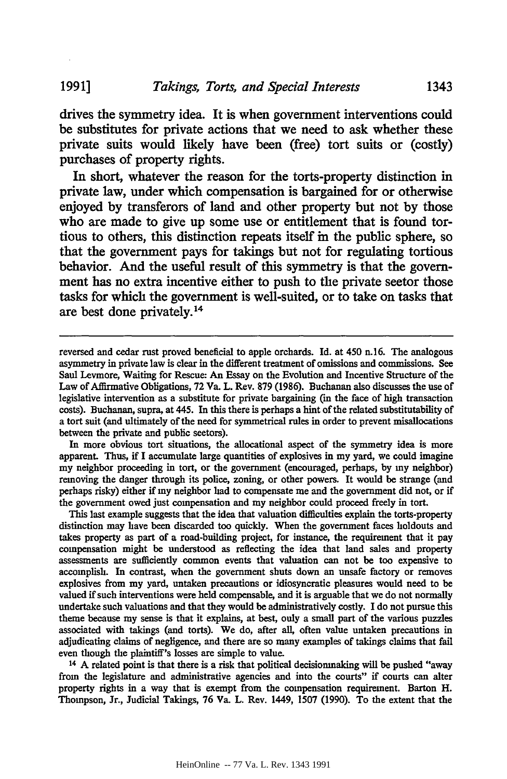drives the symmetry idea. It is when government interventions could be substitutes for private actions that we need to ask whether these private suits would likely have been (free) tort suits or (costly) purchases of property rights.

In short, whatever the reason for the torts-property distinction in private law, under which compensation is bargained for or otherwise enjoyed **by** transferors of land and other property but not **by** those who are made to give up some use or entitlement that is found tortious to others, this distinction repeats itself in the public sphere, so that the government pays for takings but not for regulating tortious behavior. And the useful result of this symmetry is that the government has no extra incentive either to push to the private sector those tasks for which the government is well-suited, or to take on tasks that are best done privately. <sup>14</sup>

In more obvious tort situations, the allocational aspect of the symmetry idea is more apparent. Thus, if I accumulate large quantities of explosives in my yard, we could imagine my neighbor proceeding in tort, or the government (encouraged, perhaps, **by** my neighbor) removing the danger through its police, zoning, or other powers. It would be strange (and perhaps risky) either if my neighbor had to compensate me and the government did not, or if the government owed just compensation and my neighbor could proceed freely in tort.

This last example suggests that the idea that valuation difficulties explain the torts-property distinction may have been discarded too quickly. When the government faces holdouts and takes property as part of a road-building project, for instance, the requirement that it pay compensation might be understood as reflecting the idea that land sales and property assessments are sufficiently common events that valuation can not be too expensive to accomplish. In contrast, when the government shuts down an unsafe factory or removes explosives from my yard, untaken precautions or idiosyncratic pleasures would need to be valued if such interventions were held compensable, and it is arguable that we do not normally undertake such valuations and that they would be administratively costly. I do not pursue this theme because my sense is that it explains, at best, only a small part of the various puzzles associated with takings (and torts). We do, after all, often value untaken precautions in adjudicating claims of negligence, and there are so many examples of takings claims that fail even though the plaintiff's losses are simple to value.

<sup>14</sup>**A** related point is that there is a risk that political decisionmaking will be pushed "away from the legislature and administrative agencies and into the courts" if courts can alter property rights in a way that is exempt from the compensation requirement. Barton H. Thompson, Jr., Judicial Takings, 76 Va. L. Rev. 1449, 1507 (1990). To the extent that the

reversed and cedar rust proved beneficial to apple orchards. Id. at 450 n.16. The analogous asymmetry in private law is clear in the different treatment of omissions and commissions. See Saul Levmore, Waiting for Rescue: An Essay on the Evolution and Incentive Structure of the Law of Affirmative Obligations, 72 Va. L. Rev. **879** (1986). Buchanan also discusses the use of legislative intervention as a substitute for private bargaining (in the face of high transaction costs). Buchanan, supra, at 445. In this there is perhaps a hint of the related substitutability of a tort suit (and ultimately of the need for symmetrical rules in order to prevent misallocations between the private and public sectors).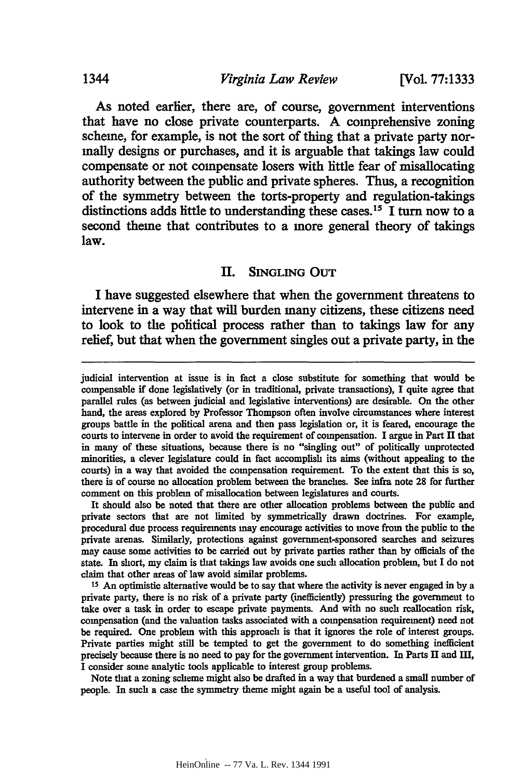As noted earlier, there are, of course, government interventions that have no close private counterparts. **A** comprehensive **zoning** scheme, for example, is not the sort of thing that a private party normally designs or purchases, and it is arguable that takings law could compensate or not compensate losers with little fear of misallocating authority between the public and private spheres. Thus, a recognition of the symmetry between the torts-property and regulation-takings distinctions adds little to understanding these cases.<sup>15</sup> I turn now to a second theme that contributes to a more general theory of takings law.

#### **II.** SINGLING **OUT**

I have suggested elsewhere that when the government threatens to intervene in a way that will burden many citizens, these citizens need to look to the political process rather than to takings law for any relief, but that when the government singles out a private party, in the

It should also be noted that there are other allocation problems between the public and private sectors that are not limited **by** symmetrically drawn doctrines. For example, procedural due process requirements may encourage activities to move from the public to the private arenas. Similarly, protections against government-sponsored searches and seizures may cause some activities to be carried out **by** private parties rather than **by** officials of the state. In short, my claim is that takings law avoids one such allocation problem, but I do not claim that other areas of law avoid similar problems.

**15** An optimistic alternative would be to say that where the activity is never engaged in by a private party, there is no risk of a private party (inefficiently) pressuring the government to take over a task in order to escape private payments. And with no such reallocation risk, compensation (and the valuation tasks associated with a compensation requirement) need not be required. One problem with this approach is that it ignores the role of interest groups. Private parties might still be tempted to get the government to do something inefficient precisely because there is no need to pay for the government intervention. In Parts II and III, I consider some analytic tools applicable to interest group problems.

Note that a zoning scheme might also be drafted in a way that burdened a small number of people. In such a case the symmetry theme might again be a useful tool of analysis.

judicial intervention at issue is in fact a close substitute for something that would be compensable **if** done legislatively (or in traditional, private transactions), I quite agree that parallel rules (as between judicial and legislative interventions) are desirable. On the other hand, the areas explored **by** Professor Thompson often involve circumstances where interest groups battle in the political arena and then pass legislation or, it is feared, encourage the courts to intervene in order to avoid the requirement of compensation. **I** argue in Part **II** that in many of these situations, because there is no "singling out" of politically unprotected minorities, a clever legislature could in fact accomplish its aims (without appealing to the courts) in a way that avoided the compensation requirement. To the extent that this is so, there is of course no allocation problem between the branches. See infra note **28** for further comment on this problem of misallocation between legislatures and courts.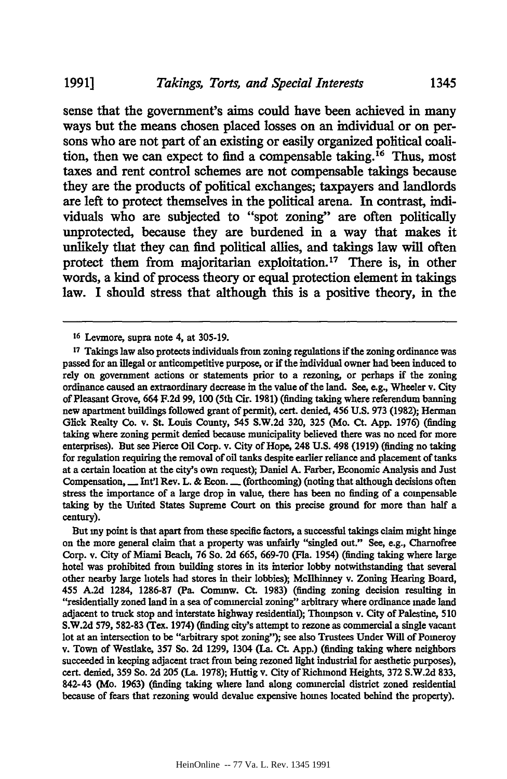sense that the government's aims could have been achieved in many ways but the means chosen placed losses on an individual or on persons who are not part **of** an existing or easily organized political coalition, then we can expect to find a compensable taking.16 Thus, most taxes and rent control schemes are not compensable takings because they are the products of political exchanges; taxpayers and landlords are left to protect themselves in the political arena. In contrast, individuals who are subjected to "spot zoning" are often politically unprotected, because they are burdened in a way that makes it unlikely that they can find political allies, and takings law will often protect them from majoritarian exploitation.<sup>17</sup> There is, in other words, a kind of **process** theory or equal protection element in takings law. I should stress that although this is a positive theory, in the

But my point is that apart from these specific factors, a successful takings claim might hinge on the more general claim that a property was unfairly "singled out." See, e.g., Charnofree Corp. v. City of Miami Beach, **76** So. **2d 665, 669-70** (FIa. 1954) (finding taking where large hotel was prohibited from building stores in its interior lobby notwithstanding that several other nearby large hotels had stores in their lobbies); Mclfhinney v. Zoning Hearing Board, 455 **A.2d** 1284, **1286-87** (Pa. Commw. **Ct. 1983)** (finding zoning decision resulting in "residentially zoned land in a sea of commercial zoning" arbitrary where ordinance made land adjacent to truck stop and interstate highway residential); Thompson v. City **of** Palestine, **510 S.W.2d 579, 582-83** (Tex. 1974) (finding city's attempt to rezone as commercial a single vacant lot at an intersection to be "arbitrary spot zoning"); see also Trustees Under Will of Pomeroy **v.** Town **of** Westlake, **357** So. **2d 1299,** 1304 (La. Ct. **App.)** (finding taking where neighbors succeeded in keeping adjacent tract from being rezoned light industrial for aesthetic purposes), cert. denied, **359** So. **2d 205** (La. **1978);** Huttig v. City **of** Richmond Heights, **372 S.W.2d 833,** 842-43 (Mo. **1963)** (finding taking where land along commercial district zoned residential because of fears that rezoning would devalue expensive homes located behind the property).

**<sup>16</sup>**Levmore, supra note 4, at **305-19.**

**<sup>17</sup>** Takings law also protects individuals from zoning regulations if the zoning ordinance was passed for an illegal or anticompetitive purpose, or if the individual owner had been induced to rely on government actions or statements prior to a rezoning, or perhaps if the zoning ordinance caused an extraordinary decrease in the value of the land. See, e.g., Wheeler v. City **of** Pleasant Grove, 664 **F.2d 99, 100** (5th Cir. **1981)** (finding taking where referendum banning new apartment buildings followed grant of permit), cert. denied, 456 **U.S. 973 (1982);** Herman Glick Realty **Co.** v. St. Louis County, 545 **S.W.2d 320, 325** (Mo. Ct. **App. 1976)** (finding taking where zoning permit denied because municipality believed there was no need for more enterprises). But see Pierce Oil Corp. v. City of Hope, 248 U.S. 498 **(1919)** (finding no taking for regulation requiring the removal of oil tanks despite earlier reliance and placement of tanks at a certain location at the city's own request); Daniel A. Farber, Economic Analysis and Just Compensation, **-** Int'l Rev. L. **&** Econ. **-** (forthcoming) (noting that although decisions often stress the importance of a large drop in value, there has been no finding of a compensable taking by the United States Supreme Court on this precise ground for more than half a century).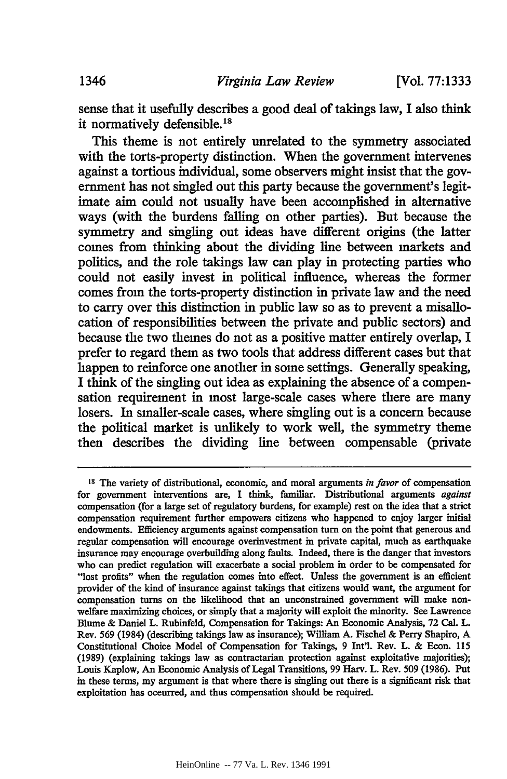sense that it usefully describes a good deal of takings law, I also think it normatively defensible.<sup>18</sup>

This theme is not entirely unrelated to the symmetry associated with the torts-property distinction. When the government intervenes against a tortious individual, some observers might insist that the gov**ernment** has not singled out this party because the government's legitimate aim could not usually have been accomplished in alternative ways (with the burdens falling on other parties). But because the symmetry and singling out ideas have different origins (the latter comes from thinking about the dividing line between markets and politics, and the role takings law can play in protecting parties who could not easily invest in political influence, whereas the former comes from the torts-property distinction in private law and the need to carry over this distinction in public law so as to prevent a misallocation of responsibilities between the private and public sectors) and because the two themes do not as a positive matter entirely overlap, I prefer to regard them as two tools that address different cases but that happen to reinforce one another in some settings. Generally speaking, I think of the singling out idea as explaining the absence of a compensation requirement in most large-scale cases where there are many losers. In smaller-scale cases, where singling out is a concern because the political market is unlikely to work well, the symmetry theme then describes the dividing line between compensable (private

**IS** The variety of distributional, economic, and moral arguments *in favor* of compensation for government interventions are, I think, familiar. Distributional arguments *against* compensation (for a large set of regulatory burdens, for example) rest on the idea that a strict compensation requirement further empowers citizens who happened to enjoy larger initial endowments. Efficiency arguments against compensation turn on the point that generous and regular compensation will encourage overinvestment in private capital, much as earthquake insurance may encourage overbuilding along faults. Indeed, there is the danger that investors who can predict regulation will exacerbate a social problem in order to be compensated for "lost profits" when the regulation comes into effect. Unless the government is an efficient provider of the kind of insurance against takings that citizens would want, the argument for compensation turns on the likelihood that an unconstrained government will make nonwelfare maximizing choices, or simply that a majority will exploit the minority. See Lawrence Blume & Daniel L. Rubinfeld, Compensation for Takings: An Economic Analysis, 72 Cal. L. Rev. 569 (1984) (describing takings law as insurance); William A. Fischel & Perry Shapiro, A Constitutional Choice Model of Compensation for Takings, 9 Int'l. Rev. L. & Econ. 115 (1989) (explaining takings law as contractarian protection against exploitative majorities); Louis Kaplow, An Economic Analysis of Legal Transitions, 99 Harv. L. Rev. 509 (1986). Put in these terms, my argument is that where there is singling out there is a significant risk that exploitation has occurred, and thus compensation should be required.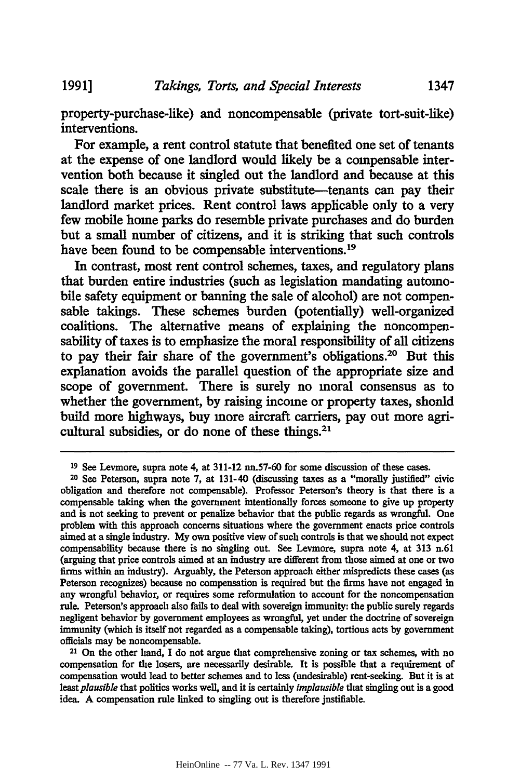property-purchase-like) and noncompensable (private tort-suit-like) interventions.

For example, a rent control statute that benefited one set of tenants at the expense of one landlord would likely be a compensable intervention both because it singled out the landlord and because at this scale there is an obvious private substitute-tenants can pay their landlord market prices. Rent control laws applicable only to a very few mobile home parks do resemble private purchases and do burden but a small number of citizens, and it is striking that such controls have been found to be compensable interventions.<sup>19</sup>

In contrast, most rent control schemes, taxes, and regulatory plans that burden entire industries (such as legislation mandating automobile safety equipment or banning the sale of alcohol) are not compensable takings. These schemes burden (potentially) well-organized coalitions. The alternative means of explaining the noncompensability of taxes is to emphasize the moral responsibility of all citizens to pay their fair share of the government's obligations.<sup>20</sup> But this explanation avoids the parallel question of the appropriate size and scope of government. There is surely no moral consensus as to whether the government, **by** raising income or property taxes, should build more highways, buy more aircraft carriers, pay out more agricultural subsidies, or do none of these things.<sup>21</sup>

**<sup>19</sup> See** Levmore, supra note 4, at 311-12 nn.57-60 for some discussion of these cases.

**<sup>20</sup>**See Peterson, supra note **7,** at 131-40 (discussing taxes as a "morally justified" civic obligation and therefore not compensable). Professor Peterson's theory is that there is a compensable taking when the government intentionally forces someone to give up property and is not seeking to prevent or penalize behavior that the public regards as wrongful. One problem with this approach concerns situations where the government enacts price controls aimed at a single industry. **My** own positive view of such controls is that we should not expect compensability because there is no singling out. See Levmore, supra note 4, at 313 n.61 (arguing that price controls aimed at an industry are different from those aimed at one or two firms within an industry). Arguably, the Peterson approach either mispredicts these cases (as Peterson recognizes) because no compensation is required but the firms have not engaged in any wrongful behavior, or requires some reformulation to account for the noncompensation rule. Peterson's approach also fails to deal with sovereign immunity: the public surely regards negligent behavior by government employees as wrongful, yet under the doctrine of sovereign immunity (which is itself not regarded as a compensable taking), tortious acts by government officials may be noncompensable.

**<sup>21</sup>**On the other hand, I do not argue that comprehensive zoning or tax schemes, with no compensation for the losers, are necessarily desirable. It is possible that a requirement of compensation would lead to better schemes and to less (undesirable) rent-seeking. But it is at least plausible that politics works well, and it is certainly *implausible* that singling out is a good idea. A compensation rule linked to singling out is therefore jnstifiable.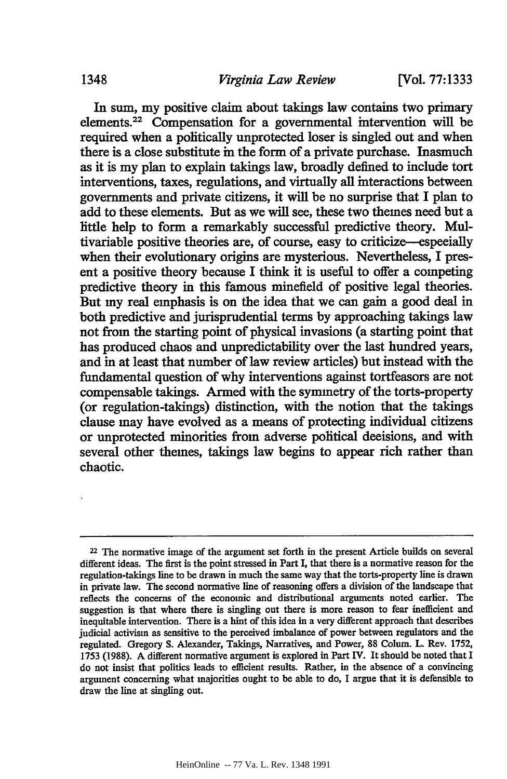In sum, my positive claim about takings law contains two primary elements.<sup>22</sup> Compensation for a governmental intervention will be required when a politically unprotected loser is singled out and when there is a close substitute in the form of a private purchase. Inasmuch as it is my plan to explain takings law, broadly defined to include tort interventions, taxes, regulations, and virtually all interactions between governments and private citizens, it will be no surprise that **I** plan to add to these elements. But as we **will** see, these two themes need but a little help to form a remarkably successful predictive theory. Multivariable positive theories are, of course, easy to criticize--especially when their evolutionary origins are mysterious. Nevertheless, **I** present a positive theory because I think it is useful to offer a competing predictive theory in this famous minefield of positive legal theories. But my real emphasis is on the idea that we can gain a good deal in both predictive and jurisprudential terms **by** approaching takings law not from the starting point of physical invasions (a starting point that has produced chaos and unpredictability over the last hundred years, and in at least that number of law review articles) but instead with the fundamental question of why interventions against tortfeasors are not compensable takings. Armed with the symmetry of the torts-property (or regulation-takings) distinction, with the notion that the takings clause may have evolved as a means of protecting individual citizens or unprotected minorities from adverse political decisions, and with several other themes, takings law begins to appear rich rather than chaotic.

**<sup>22</sup>**The normative image of the argument set forth in the present Article builds on several different ideas. The first is the point stressed in Part I, that there is a normative reason for the regulation-takings line to be drawn in much the same way that the torts-property line is drawn in private law. The second normative line of reasoning offers a division of the landscape that reflects the concerns of the economic and distributional arguments noted earlier. The suggestion is that where there is singling out there is more reason to fear inefficient and inequitable intervention. There is a hint of this idea in a very different approach that describes judicial activism as sensitive to the perceived imbalance of power between regulators and the regulated. Gregory **S.** Alexander, Takings, Narratives, and Power, **88** Colum. L. Rev. **1752, 1753 (1988). A** different normative argument is explored in Part **IV.** It should be noted that **I** do not insist that politics leads to efficient results. Rather, in the absence of a convincing argument concerning what majorities ought to be able to do, I argue that it is defensible to draw the line at singling out.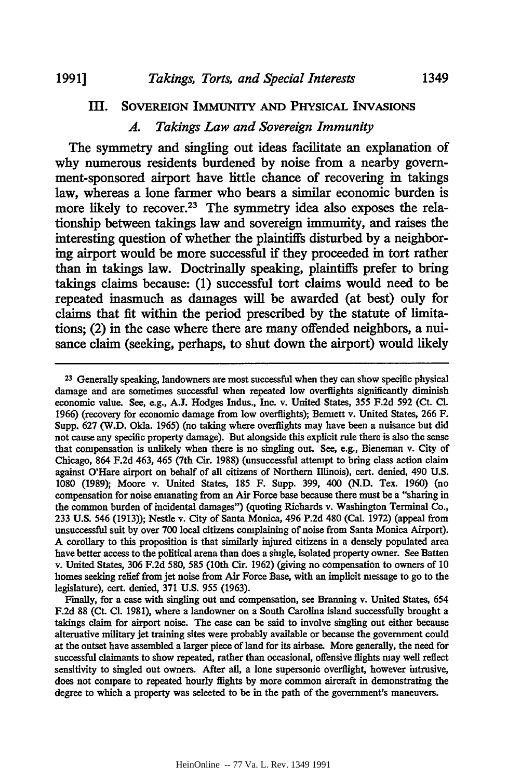#### III. SOVEREIGN IMMUNITY **AND** PHYSICAL **INVASIONS**

#### *A. Takings Law and Sovereign Immunity*

The symmetry and singling out ideas facilitate an explanation of why numerous residents burdened **by** noise from a nearby government-sponsored airport have little chance of recovering in takings law, whereas a lone farmer who bears a similar economic burden is more likely to recover.<sup>23</sup> The symmetry idea also exposes the relationship between takings law and sovereign immunity, and raises the interesting question of whether the plaintiffs disturbed **by** a neighboring airport would be more successful **if** they proceeded in tort rather than in takings law. Doctrinally speaking, plaintiffs prefer to bring takings claims because: (1) successful tort claims would need to be repeated inasmuch as damages **will** be awarded (at best) only for claims that fit within the period prescribed **by** the statute of limitations; (2) in the case where there are many offended neighbors, a nuisance claim (seeking, perhaps, to shut down the airport) would likely

**<sup>23</sup>**Generally speaking, landowners are most successful when they can show specific physical damage and are sometimes successful when repeated low overflights significantly diminish economic value. See, e.g., A.J. Hodges Indus., Inc. v. United States, 355 F.2d 592 (Ct. **Cl.** 1966) (recovery for economic damage from low overflights); Bennett v. United States, 266 F. Supp. 627 (W.D. Okla. 1965) (no taking where overflights may have been a nuisance but did not cause any specific property damage). But alongside this explicit rule there is also the sense that compensation is unlikely when there is no singling out. See, e.g., Bieneman v. City of Chicago, 864 F.2d 463, 465 (7th Cir. 1988) (unsuccessful attempt to bring class action claim against O'Hare airport on behalf of all citizens of Northern Illinois), cert. denied, 490 U.S. 1080 (1989); Moore v. United States, 185 F. Supp. 399, 400 (N.D. Tex. 1960) (no compensation for noise emanating from an Air Force base because there must be a "sharing in the common burden of incidental damages") (quoting Richards v. Washington Terminal Co., 233 U.S. 546 (1913)); Nestle v. City of Santa Monica, 496 P.2d 480 (Cal. 1972) (appeal from unsuccessful suit by over 700 local citizens complaining of noise from Santa Monica Airport). A corollary to this proposition is that similarly injured citizens in a densely populated area have better access to the political arena than does a single, isolated property owner. See Batten v. United States, 306 F.2d 580, 585 (10th Cir. 1962) (giving no compensation to owners of **10** homes seeking relief from jet noise from Air Force Base, with an implicit message to go to the legislature), cert. denied, 371 U.S. 955 (1963).

Finally, for a case with singling out and compensation, see Branning v. United States, 654 F.2d 88 (Ct. **Cl.** 1981), where a landowner on a South Carolina island successfully brought a takings claim for airport noise. The case can be said to involve singling out either because alternative military jet training sites were probably available or because the government could at the outset have assembled a larger piece of land for its airbase. More generally, the need for successful claimants to show repeated, rather than occasional, offensive flights may well reflect sensitivity to singled out owners. After all, a lone supersonic overflight, however intrusive, does not compare to repeated hourly flights by more common aircraft in demonstrating the degree to which a property was selected to be in the path of the government's maneuvers.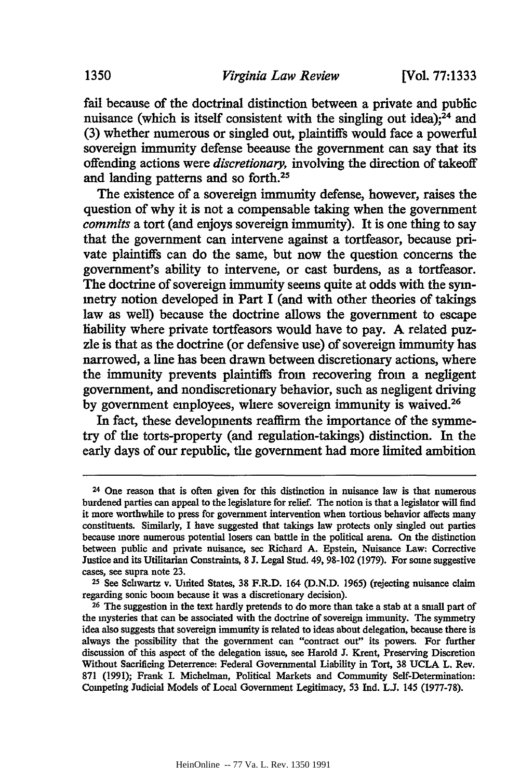fail because of the doctrinal distinction between a private and public nuisance (which is itself consistent with the singling out idea); $^{24}$  and (3) whether numerous or singled out, plaintiffs would face a powerful sovereign immunity defense because the government can say that its offending actions were *discretionary,* involving the direction of takeoff and landing patterns and so forth.25

The existence of a sovereign immunity defense, however, raises the question of why it is not a compensable taking when the government *commits* a tort (and enjoys sovereign immunity). It is one thing to say that the government can intervene against a tortfeasor, because private plaintiffs can do the same, but now the question concerns the government's ability to intervene, or cast burdens, as a tortfeasor. The doctrine of sovereign immunity seems quite at odds with the symmetry notion developed in Part I (and with other theories of takings law as well) because the doctrine allows the government to escape liability where private tortfeasors would have to pay. A related puzzle is that as the doctrine (or defensive use) of sovereign immunity has narrowed, a line has been drawn between discretionary actions, where the immunity prevents plaintiffs from recovering from a negligent government, and nondiscretionary behavior, such as negligent driving by government employees, where sovereign immunity is waived.<sup>26</sup>

In fact, these developments reaffirm the importance of the symmetry of the torts-property (and regulation-takings) distinction. In the early days of our republic, the government had more limited ambition

**<sup>24</sup>**One reason that is often given for this distinction in nuisance law is that numerous burdened parties can appeal to the legislature for relief. The notion is that a legislator will find it more worthwhile to press for government intervention when tortious behavior affects many constituents. Similarly, I have suggested that takings law protects only singled out parties because more numerous potential losers can battle in the political arena. On the distinction between public and private nuisance, see Richard **A.** Epstein, Nuisance Law: Corrective Justice and its Utilitarian Constraints, 8 **J.** Legal Stud. 49, 98-102 (1979). For some suggestive cases, see supra note 23.

**<sup>25</sup>**See Schwartz v. United States, 38 F.R.D. 164 (D.N.D. 1965) (rejecting nuisance claim regarding sonic boom because it was a discretionary decision).

**<sup>26</sup>**The suggestion in the text hardly pretends to do more than take a stab at a small part of the mysteries that can be associated with the doctrine of sovereign immunity. The symmetry idea also suggests that sovereign immunity is related to ideas about delegation, because there is always the possibility that the government can "contract out" its powers. For further discussion of this aspect of the delegation issue, see Harold **J.** Krent, Preserving Discretion Without Sacrificing Deterrence: Federal Governmental Liability in Tort, 38 **UCLA** L. Rev. **871** (1991); Frank I. Michelman, Political Markets and Community Self-Determination: Competing Judicial Models of Local Government Legitimacy, 53 Ind. **L.J.** 145 (1977-78).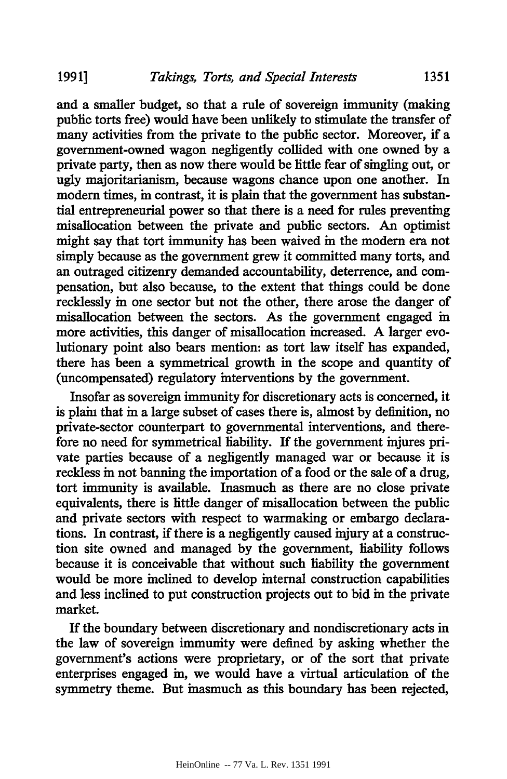and a smaller budget, so that a rule of sovereign immunity (making public torts free) would have been unlikely to stimulate the transfer of many activities from the private to the public sector. Moreover, if a government-owned wagon negligently collided with one owned by a private party, then as now there would be little fear of singling out, or ugly majoritarianism, because wagons chance upon one another. In modem times, in contrast, it is plain that the government has substantial entrepreneurial power so that there is a need for rules preventing misallocation between the private and public sectors. An optimist might say that tort immunity has been waived in the modem era not simply because as the government grew it committed many torts, and an outraged citizenry demanded accountability, deterrence, and compensation, but also because, to the extent that things could be done recklessly in one sector but not the other, there arose the danger of misallocation between the sectors. As the government engaged in more activities, this danger of misallocation increased. A larger evolutionary point also bears mention: as tort law itself has expanded, there has been a symmetrical growth in the scope and quantity of (uncompensated) regulatory interventions by the government.

Insofar as sovereign immunity for discretionary acts is concerned, it is plain that in a large subset of cases there is, almost by definition, no private-sector counterpart to governmental interventions, and therefore no need for symmetrical liability. If the government injures private parties because of a negligently managed war or because it is reckless in not banning the importation of a food or the sale of a drug, tort immunity is available. Inasmuch as there are no close private equivalents, there is little danger of misallocation between the public and private sectors with respect to warmaking or embargo declarations. In contrast, if there is a negligently caused injury at a construction site owned and managed by the government, liability follows because it is conceivable that without such liability the government would be more inclined to develop internal construction capabilities and less inclined to put construction projects out to bid in the private market.

If the boundary between discretionary and nondiscretionary acts in the law of sovereign immunity were defined by asking whether the government's actions were proprietary, or of the sort that private enterprises engaged in, we would have a virtual articulation of the symmetry theme. But inasmuch as this boundary has been rejected,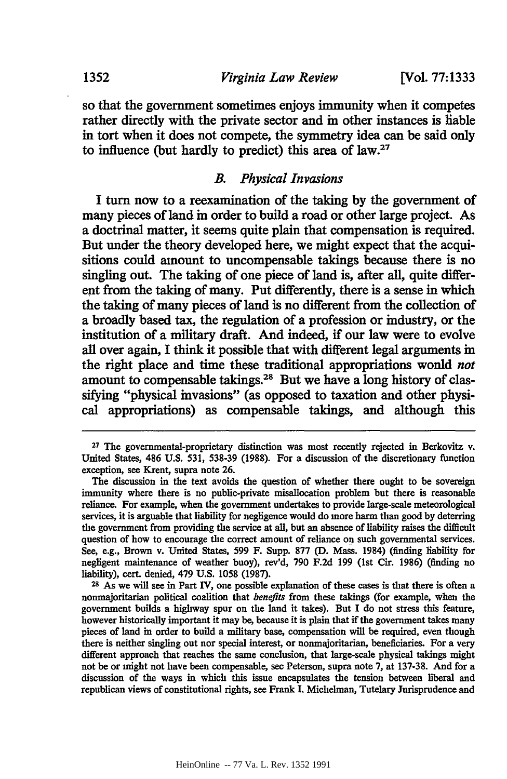so that the government sometimes enjoys immunity when it competes rather directly with the private sector and in other instances is liable in tort when it does not compete, the symmetry idea can be said only to influence (but hardly to predict) this area of law. $27$ 

#### *B. Physical Invasions*

I turn now to a reexamination of the taking by the government of many pieces of land in order to build a road or other large project. As a doctrinal matter, it seems quite plain that compensation is required. But under the theory developed here, we might expect that the acquisitions could amount to uncompensable takings because there is no singling out. The taking of one piece of land is, after all, quite different from the taking of many. Put differently, there is a sense in which the taking of many pieces of land is no different from the collection of a broadly based tax, the regulation of a profession or industry, or the institution of a military draft. And indeed, if our law were to evolve all over again, I think it possible that with different legal arguments in the right place and time these traditional appropriations would *not* amount to compensable takings.<sup>28</sup> But we have a long history of classifying "physical invasions" (as opposed to taxation and other physical appropriations) as compensable takings, and although this

**<sup>28</sup>**As we will see in Part IV, one possible explanation of these cases is that there is often a nonmajoritarian political coalition that benefits from these takings (for example, when the government builds a highway spur on the land it takes). But I do not stress this feature, however historically important it may be, because it is plain that **if** the government takes many pieces of land in order to build a military base, compensation will be required, even though there is neither singling out nor special interest, or nonmajoritarian, beneficiaries. For a very different approach that reaches the same conclusion, that large-scale physical takings might not be or might not have been compensable, see Peterson, supra note **7,** at **137-38.** And for a discussion of the ways in which this issue encapsulates the tension between liberal and republican views of constitutional rights, see Frank **I.** Michelman, Tutelary Jurisprudence and

**<sup>27</sup>**The governmental-proprietary distinction was most recently rejected in Berkovitz v. United States, 486 U.S. 531, 538-39 (1988). For a discussion of the discretionary function exception, see Krent, supra note **26.**

The discussion in the text avoids the question of whether there ought to be sovereign immunity where there is no public-private misallocation problem but there is reasonable reliance. For example, when the government undertakes to provide large-scale meteorological services, it is arguable that liability for negligence would do more harm than good by deterring the government from providing the service at all, but an absence of liability raises the difficult question of how to encourage the correct amount of reliance on such governmental services. See, e.g., Brown v. United States, 599 F. Supp. 877 (D. Mass. 1984) (finding liability for negligent maintenance of weather buoy), rev'd, 790 F.2d 199 (1st Cir. 1986) (finding no liability), cert. denied, 479 U.S. 1058 (1987).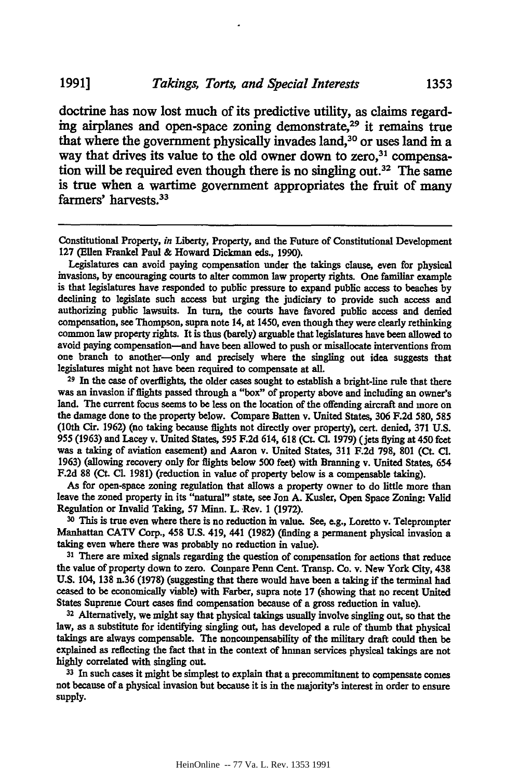doctrine has now lost much of its predictive utility, as claims regarding airplanes and open-space zoning demonstrate,<sup>29</sup> it remains true that where the government physically invades land,<sup>30</sup> or uses land in a way that drives its value to the old owner down to zero,<sup>31</sup> compensation will be required even though there is no singling out.<sup>32</sup> The same is true when a wartime government appropriates the fruit of many farmers' harvests.<sup>33</sup>

**<sup>29</sup>**In the case of overflights, the older cases sought to establish a bright-line rule that there was an invasion if flights passed through a "box" of property above and including an owner's land. The current focus seems to be less on the location of the offending aircraft and more on the damage done to the property below. Compare Batten v. United States, **306 F.2d** 580, 585 (10th Cir. **1962)** (no taking because flights not directly over property), cert. denied, **371** U.S. 955 (1963) and Lacey v. United States, 595 F.2d 614, 618 (Ct. Cl. 1979) (jets flying at 450 fcet was a taking of aviation easement) and Aaron v. United States, 311 F.2d 798, 801 (Ct. Cl. **1963)** (allowing recovery only for flights below **500** feet) with Branning v. United States, 654 **F.2d** 88 (Ct. **Cl. 1981)** (reduction in value of property below is a compensable taking).

As for open-space zoning regulation that allows a property owner **to** do little more than leave the zoned property in its "natural" state, see **Jon A.** Kusler, Open Space Zoning: Valid Regulation or Invalid Taking, **57** Minn. L. -Rev. **1 (1972).**

**<sup>30</sup>**This is true even where there is no reduction in value. See, e.g., Loretto v. Teleprompter Manhattan **CATV** Corp., 458 **U.S.** 419, 441 **(1982)** (finding a permanent physical invasion a taking even where there was probably no reduction in value).

<sup>31</sup> There are mixed signals regarding the question of compensation for actions that reduce the value of property down to zero. Compare Penn Cent. Transp. Co. v. New York City, 438 **U.S.** 104, **138** n.36 **(1978)** (suggesting that there would have been a taking if the terminal had ceased to be economically viable) with Farber, supra note **17** (showing that no recent United States Supreme Court cases find compensation because of a gross reduction in value).

**<sup>32</sup>**Alternatively, we might say that physical takings usually involve singling out, so that the law, as a substitute for identifying singling out, has developed a rule of thumb that physical takings are always compensable. The noncompensability of the military draft could then be explained as reflecting the fact that in the context of human services physical takings are not **highly** correlated with singling out.

<sup>33</sup> In such cases it might be simplest to explain that a precommitment to compensate comes not because of a physical invasion but because it is in the majority's interest in order to ensure **supply.**

Constitutional Property, in Liberty, Property, and the Future of Constitutional Development **127** (Ellen Frankel Paul **&** Howard Dickman eds., **1990).**

Legislatures can avoid paying compensation under the takings clause, even for physical invasions, **by** encouraging courts to alter common law property rights. One familiar example is that legislatures have responded to public pressure to expand public access to beaches **by** declining to legislate such access but urging the judiciary to provide such access and authorizing public lawsuits. In turn, the courts have favored public access and denied compensation, see Thompson, supra note 14, at 1450, even though they were clearly rethinking common law property rights. It is thus (barely) arguable that legislatures have been allowed to avoid paying compensation-and have been allowed to push or misallocate interventions from one branch to another-only and precisely where the singling out idea suggests that legislatures might not have been required to compensate at all.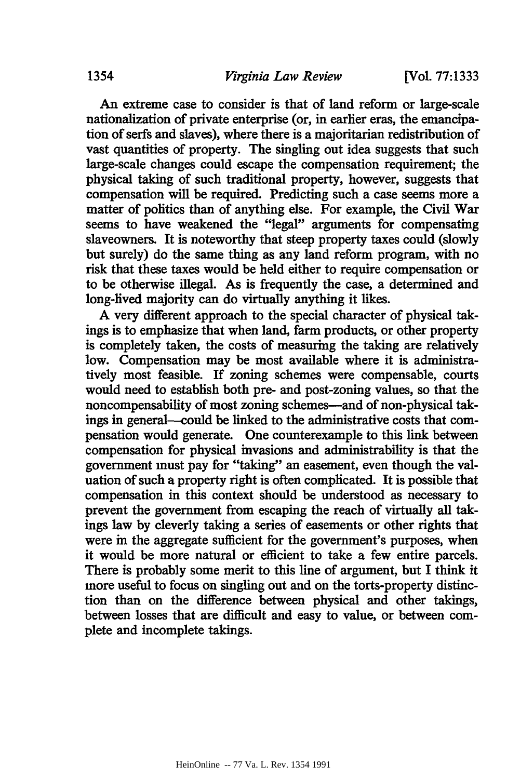An extreme case to consider is that of land reform or large-scale nationalization of private enterprise (or, in earlier eras, the emancipation of serfs and slaves), where there is a majoritarian redistribution of vast quantities of property. The singling out idea suggests that such large-scale changes could escape the compensation requirement; the physical taking of such traditional property, however, suggests that compensation will be required. Predicting such a case seems more a matter of politics than of anything else. For example, the Civil War seems to have weakened the "legal" arguments for compensating slaveowners. It is noteworthy that steep property taxes could (slowly but surely) do the same thing as any land reform program, with no risk that these taxes would be held either to require compensation or to be otherwise illegal. As is frequently the case, a determined and long-lived majority can do virtually anything it likes.

A very different approach to the special character of physical takings is to emphasize that when land, farm products, or other property is completely taken, the costs of measuring the taking are relatively low. Compensation may be most available where it is administratively most feasible. If zoning schemes were compensable, courts would need to establish both pre- and post-zoning values, so that the noncompensability of most zoning schemes-and of non-physical takings in general--could be linked to the administrative costs that compensation would generate. One counterexample to this link between compensation for physical invasions and administrability is that the government must pay for "taking" an easement, even though the valuation of such a property right is often complicated. It is possible that compensation in this context should be understood as necessary to prevent the government from escaping the reach of virtually all takings law by cleverly taking a series of easements or other rights that were in the aggregate sufficient for the government's purposes, when it would be more natural or efficient to take a few entire parcels. There is probably some merit to this line of argument, but I think it more useful to focus on singling out and on the torts-property distinction than on the difference between physical and other takings, between losses that are difficult and easy to value, or between complete and incomplete takings.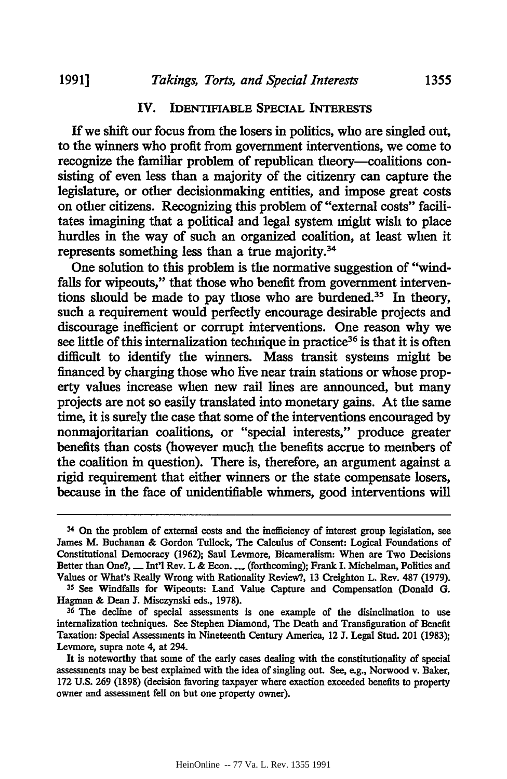#### IV. IDENTIFLBLE **SPECIAL INTERESTS**

**If** we shift our focus from the losers in politics, who are singled out, to the winners who profit from government interventions, we come to recognize the familiar problem of republican theory--coalitions consisting of even less than a majority of the citizenry can capture the legislature, or other decisionmaking entities, and impose great costs on other citizens. Recognizing this problem of "external costs" facilitates imagining that a political and legal system might wish to place hurdles in the way of such an organized coalition, at least when it represents something less than a true majority.<sup>34</sup>

One solution to this problem is the normative suggestion of "windfalls for wipeouts," that those who benefit from government interventions should be made to pay those who are burdened.<sup>35</sup> In theory, such a requirement would perfectly encourage desirable projects and discourage inefficient or corrupt interventions. One reason why we see little of this internalization technique in practice<sup>36</sup> is that it is often difficult to identify the winners. Mass transit systems might be financed by charging those who live near train stations or whose property values increase when new rail lines are announced, but many projects are not so easily translated into monetary gains. At the same time, it is surely the case that some of the interventions encouraged by nonmajoritarian coalitions, or "special interests," produce greater benefits than costs (however much the benefits accrue to members of the coalition in question). There is, therefore, an argument against a rigid requirement that either winners or the state compensate losers, because in the face of unidentifiable winners, good interventions will

**<sup>34</sup>**On the problem of external costs and the inefficiency of interest group legislation, see James M. Buchanan **&** Gordon Tullock, The Calculus of Consent: Logical Foundations of Constitutional Democracy **(1962);** Saul Levmore, Bicameralism: When are Two Decisions Better than One?, \_\_ Int'l Rev. L & Econ. \_\_ (forthcoming); Frank I. Michelman, Politics and Values or What's Really Wrong with Rationality Review?, 13 Creighton L. Rev. 487 (1979).

**<sup>35</sup>**See Windfalls for Wipeouts: Land Value Capture and Compensation (Donald **G.** Hagman **&** Dean **J.** Misczynski eds., **1978).**

**<sup>36</sup>**The decline of special assessments is one example of the disinclination to use internalization techniques. See Stephen Diamond, The Death and Transfiguration of Benefit Taxation: Special Assessments in Nineteenth Century America, 12 J. Legal Stud. 201 (1983); Levmore, supra note 4, at 294.

It is noteworthy that some of the early cases dealing with the constitutionality of special assessments may be best explained with the idea of singling out. See, e.g., Norwood v. Baker, 172 **U.S.** 269 (1898) (decision favoring taxpayer where exaction exceeded benefits to property owner and assessment fell on but one property owner).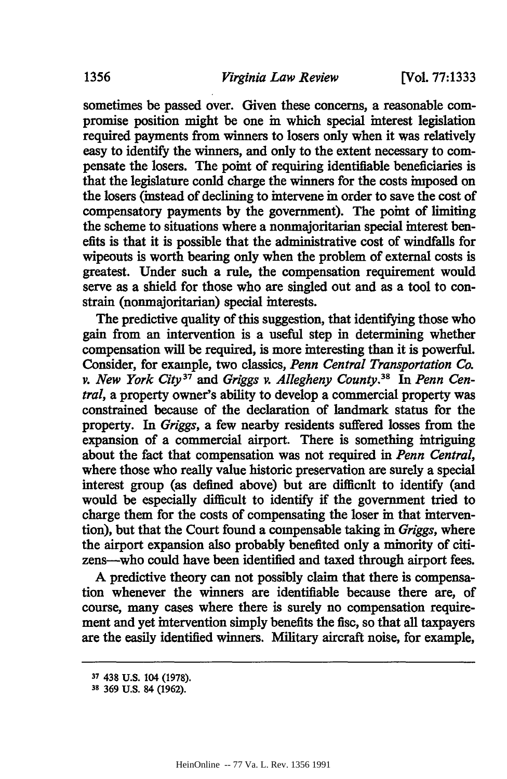sometimes be passed over. Given these concerns, a reasonable compromise position might be one in which special interest legislation required payments from winners to losers only when it was relatively easy to identify the winners, and only to the extent necessary to compensate the losers. The point of requiring identifiable beneficiaries is that the legislature conld charge the winners for the costs imposed on the losers (instead of declining to intervene in order to save the cost of compensatory payments **by** the government). The point of limiting the scheme to situations where a nonmajoritarian special interest benefits is that it is possible that the administrative cost of windfalls for wipeouts is worth bearing only when the problem of external costs is greatest. Under such a rule, the compensation requirement would serve as a shield for those who are singled out and as a tool to constrain (nonmajoritarian) special interests.

The predictive quality of this suggestion, that identifying those who gain from an intervention is a useful step in determining whether compensation will be required, is more interesting than it is powerful. Consider, for example, two classics, *Penn Central Transportation Co. v. New York City37 and Griggs v. Allegheny County.38* In *Penn Central,* a property owner's ability to develop a commercial property was constrained because of the declaration of landmark status for the property. In *Griggs,* a few nearby residents suffered losses from the expansion of a commercial airport. There is something intriguing about the fact that compensation was not required in *Penn Central,* where those who really value historic preservation are surely a special interest group (as defined above) but are difficult to identify (and would be especially difficult to identify if the government tried to charge them for the costs of compensating the loser in that intervention), but that the Court found a compensable taking in *Griggs,* where the airport expansion also probably benefited only a minority of citizens-who could have been identified and taxed through airport fees.

**A** predictive theory can not possibly claim that there is compensation whenever the winners are identifiable because there are, of course, many cases where there is surely no compensation requirement and yet intervention simply benefits the **fisc,** so that all taxpayers are the easily identified winners. Military aircraft noise, for example,

**<sup>37</sup>** 438 **U.S.** 104 **(1978).**

**<sup>38</sup> 369 U.S.** 84 **(1962).**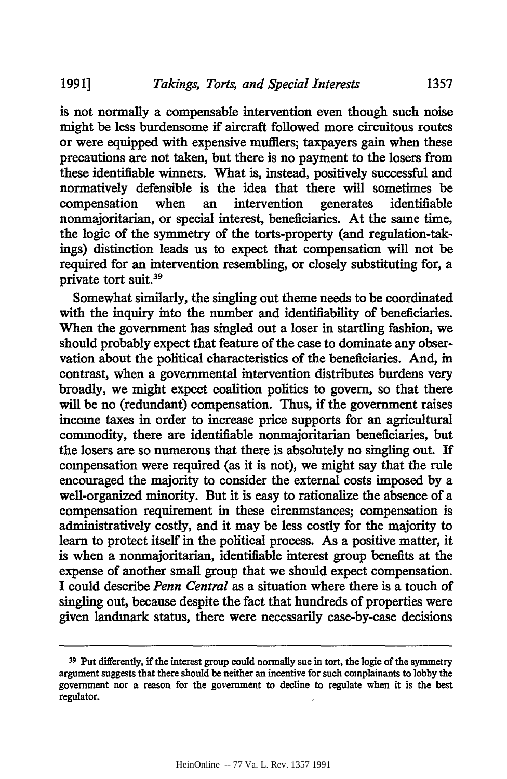is not normally a compensable intervention even though such noise might be less burdensome if aircraft followed more circuitous routes or were equipped with expensive mufflers; taxpayers gain when these precautions are not taken, but there is no payment to the losers from these identifiable winners. What is, instead, positively successful and normatively defensible is the idea that there will sometimes be compensation when an intervention generates identifiable nonmajoritarian, or special interest, beneficiaries. At the same time, the logic of the symmetry of the torts-property (and regulation-takings) distinction leads us to expect that compensation will not be required for an intervention resembling, or closely substituting for, a private tort suit.39

Somewhat similarly, the singling out theme needs to be coordinated with the inquiry into the number and identifiability of beneficiaries. When the government has singled out a loser in startling fashion, we should probably expect that feature of the case to dominate any observation about the political characteristics of the beneficiaries. And, in contrast, when a governmental intervention distributes burdens very broadly, we might expect coalition politics to govern, so that there will be no (redundant) compensation. Thus, if the government raises income taxes in order to increase price supports for an agricultural commodity, there are identifiable nonmajoritarian beneficiaries, but the losers are so numerous that there is absolutely no singling out. If compensation were required (as it is not), we might say that the rule encouraged the majority to consider the external costs imposed by a well-organized minority. But it is easy to rationalize the absence of a compensation requirement in these circnmstances; compensation is administratively costly, and it may be less costly for the majority to learn to protect itself in the political process. As a positive matter, it is when a nonmajoritarian, identifiable interest group benefits at the expense of another small group that we should expect compensation. I could describe *Penn Central* as a situation where there is a touch of singling out, because despite the fact that hundreds of properties were given landmark status, there were necessarily case-by-case decisions

**<sup>39</sup>**Put differently, if the interest group could normally sue in tort, the logic of the symmetry argument suggests that there should be neither an incentive for such complainants to lobby the government nor a reason for the government to decline to regulate when it is the best regulator.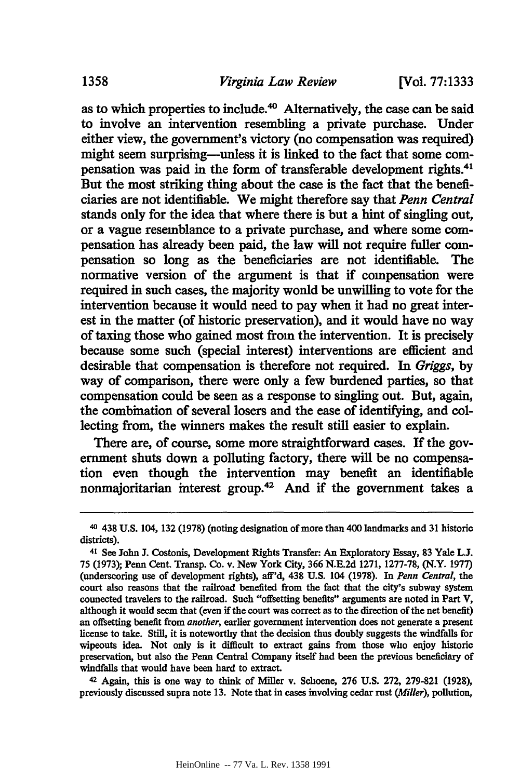as to which properties to include.<sup>40</sup> Alternatively, the case can be said to involve an intervention resembling a private purchase. Under either view, the government's victory (no compensation was required) might seem surprising-unless it is linked to the fact that some compensation was paid in the form of transferable development rights.4' But the most striking thing about the case is the fact that the beneficiaries are not identifiable. We might therefore say that *Penn Central* stands only for the idea that where there is but a hint of singling out, or a vague resemblance to a private purchase, and where some compensation has already been paid, the law will not require fuller compensation so long as the beneficiaries are not identifiable. The normative version of the argument is that if compensation were required in such cases, the majority would be unwilling to vote for the intervention because it would need to pay when it had no great interest in the matter (of historic preservation), and it would have no way of taxing those who gained most from the intervention. It is precisely because some such (special interest) interventions are efficient and desirable that compensation is therefore not required. In *Griggs,* by way of comparison, there were only a few burdened parties, so that compensation could be seen as a response to singling out. But, again, the combination of several losers and the ease of identifying, and collecting from, the winners makes the result still easier to explain.

There are, of course, some more straightforward cases. If the government shuts down a polluting factory, there will be no compensation even though the intervention may benefit an identifiable nonmajoritarian interest group.<sup>42</sup> And if the government takes a

**<sup>42</sup>**Again, this is one way to think of Miller v. Schoene, **276 U.S. 272, 279-821 (1928),** previously discussed supra note **13.** Note that in cases involving cedar rust *(Miller),* pollution,

<sup>40</sup>**438 U.S.** 104, 132 (1978) (noting designation of more than 400 landmarks and 31 historic districts).

**<sup>41</sup>**See John J. Costonis, Development Rights Transfer: An Exploratory Essay, **83** Yale L.J. 75 (1973); Penn Cent. Transp. Co. v. New York City, 366 N.E.2d 1271, 1277-78, (N.Y. 1977) (underscoring use of development rights), aff'd, 438 **U.S.** 104 **(1978).** In *Penn Central,* the court also reasons that the railroad benefited from the fact that the city's subway system connected travelers to the railroad. Such "offsetting benefits" arguments are noted in Part V, although it would seem that (even if the court was correct as to the direction of the net benefit) an offsetting benefit from *another,* earlier government intervention does not generate a present license to take. Still, it is noteworthy that the decision thus doubly suggests the windfalls for wipeouts idea. Not only is it difficult to extract gains from those who enjoy historic preservation, but also the Penn Central Company itself had been the previous beneficiary of windfalls that would have been hard to extract.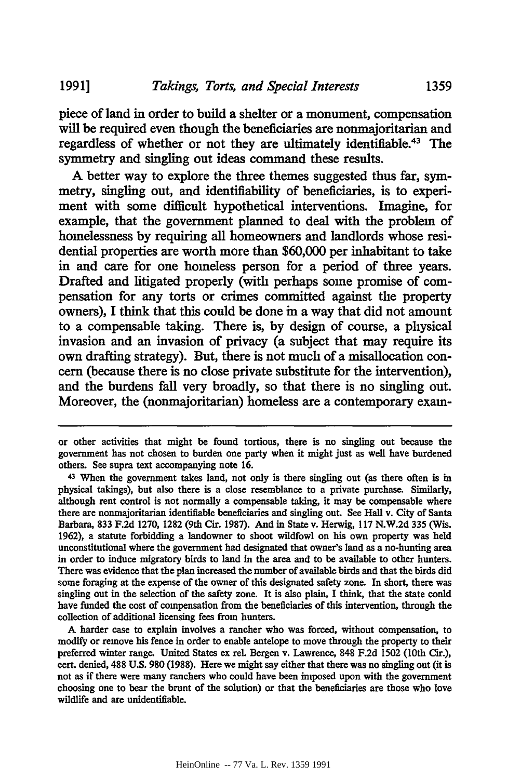piece of land in order to **build** a shelter or a monument, compensation will be required even though the beneficiaries are nonmajoritarian and regardless of whether or not they are ultimately identifiable.43 The symmetry and singling out ideas command these results.

**A** better way to explore the three themes suggested thus far, symmetry, singling out, and identifiability of beneficiaries, is to experiment with some difficult hypothetical interventions. Imagine, for example, that the government planned to deal with the problem of homelessness **by** requiring all homeowners and landlords whose residential properties are worth more than **\$60,000** per inhabitant to take in and care for one homeless person for a period of three years. Drafted and litigated properly (with perhaps some promise of compensation for any torts or crimes committed against the property owners), I think that this could be done in a way that did not amount to a compensable taking. There is, **by** design of course, a physical invasion and an invasion of privacy (a subject that may require its own drafting strategy). But, there is not much of a misallocation concern (because there is no close private substitute for the intervention), and the burdens fall very broadly, so that there is no singling out. Moreover, the (nonmajoritarian) homeless are a contemporary exam-

or other activities that might be found tortious, there is no singling out because the government has not chosen to burden one party when it might just as well have burdened others. See supra text accompanying note 16.

<sup>43</sup>When the government takes land, not only is there singling out (as there often is in physical takings), but also there is a close resemblance to a private purchase. Similarly, although rent control is not normally a compensable taking, it may be compensable where there are nonmajoritarian identifiable beneficiaries and singling out. See Hall v. City of Santa Barbara, 833 F.2d 1270, 1282 (9th Cir. 1987). And in State v. Herwig, 117 N.W.2d 335 (Wis. 1962), a statute forbidding a landowner to shoot wildfowl on his own property was held unconstitutional where the government had designated that owner's land as a no-hunting area in order to induce migratory birds to land in the area and to be available to other hunters. There was evidence that the plan increased the number of available birds and that the birds did some foraging at the expense of the owner of this designated safety zone. In short, there was singling out in the selection of the safety zone. It is also plain, I think, that the state could have funded the cost of compensation from the beneficiaries of this intervention, through the collection of additional licensing fees from hunters.

A harder case to explain involves a rancher who was forced, without compensation, to modify or remove his fence in order to enable antelope to move through the property to their preferred winter range. United States ex rel. Bergen v. Lawrence, **848** F.2d 1502 (10th Cir.), cert. denied, **488 U.S. 980** (1988). Here we might say either that there was no singling out (it is not as if there were many ranchers who could have been imposed upon with the government choosing one to bear the brunt of the solution) or that the beneficiaries are those who love wildlife and are unidentifiable.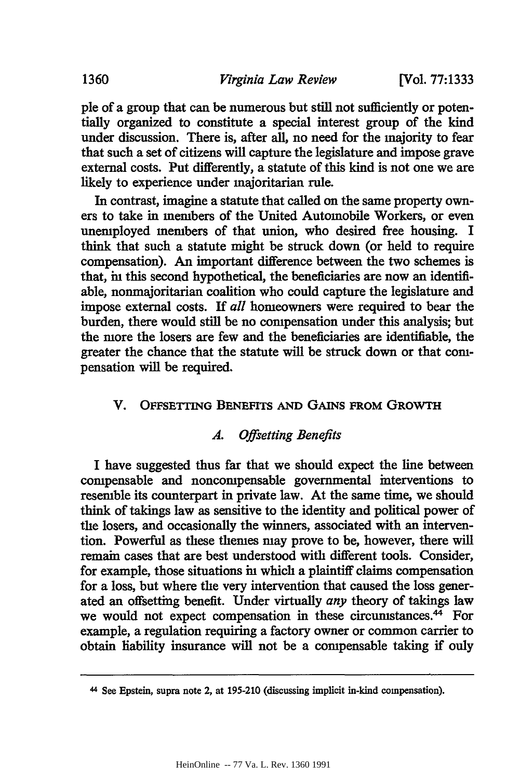**ple** of a group that can be numerous but still not sufficiently or potentially organized to constitute a special interest group of the kind under discussion. There is, after all, no need for the majority to fear that such a set of citizens will capture the legislature and impose grave external costs. Put differently, a statute of this kind is not one we are likely to experience under majoritarian rule.

In contrast, imagine a statute that called on the same property owners to take in members of the United Automobile Workers, or even unemployed members of that union, who desired free housing. I think that such a statute might be struck down (or held to require compensation). An important difference between the two schemes is that, in this second hypothetical, the beneficiaries are now an identifiable, nonmajoritarian coalition who could capture the legislature and impose external costs. If *all* homeowners were required to bear the burden, there would **still** be no compensation under this analysis; but the more the losers are few and the beneficiaries are identifiable, the greater the chance that the statute will be struck down or that compensation **will** be required.

## V. OFFSETTING BENEFITS AND GAINS FROM GROWTH

## *A. Offsetting Benefits*

I have suggested thus far that we should expect the line between compensable and noncompensable governmental interventions to resemble its counterpart in private law. At the same time, we should think of takings law as sensitive to the identity and political power of the losers, and occasionally the winners, associated with an intervention. Powerful as these themes may prove to be, however, there will remain cases that are best understood with different tools. Consider, for example, those situations in which a plaintiff claims compensation for a loss, but where the very intervention that caused the loss generated an offsetting benefit. Under virtually *any* theory of takings law we would not expect compensation in these circumstances. $44$  For example, a regulation requiring a factory owner or common carrier to obtain liability insurance will not be a compensable taking **if** only

<sup>44</sup>See Epstein, supra note 2, at **195-210** (discussing implicit in-kind compensation).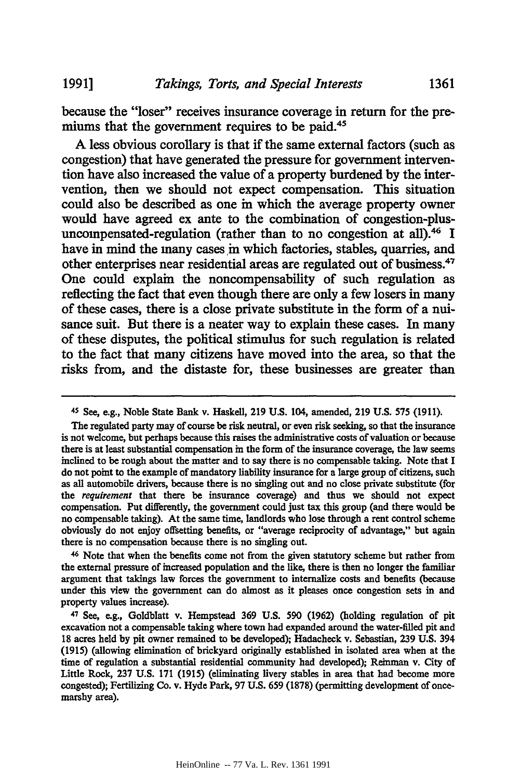because the "loser" receives insurance coverage **in** return for the premiums that the government requires to be paid.<sup>45</sup>

**A** less obvious corollary is that **if** the same external factors (such as congestion) that have generated the pressure for government intervention have also increased the value of a property burdened **by** the intervention, then we should not expect compensation. This situation could also be described as one in which the average property owner would have agreed ex ante to the combination of congestion-plusuncompensated-regulation (rather than to no congestion at **all).46 I** have in mind the many cases **in** which factories, stables, quarries, and other enterprises near residential areas are regulated out of business.47 One could explain the noncompensability of such regulation as reflecting the fact that even though there are only a few losers in many of these cases, there is a close private substitute in the form of a nuisance suit. But there is a neater way to explain these cases. In many of these disputes, the political stimulus for such regulation is related to the fact that many citizens have moved into the area, so that the risks from, and the distaste for, these businesses are greater than

<sup>46</sup> Note that when the benefits come not from the given statutory scheme but rather from the external pressure of increased population and the like, there is then no longer the familiar argument that takings law forces the government to internalize costs and benefits (because under this view the government can do almost as it pleases once congestion sets in and property values increase).

<sup>45</sup>See, e.g., Noble State Bank v. Haskell, **219 U.S.** 104, amended, 219 **U.S.** 575 (1911).

The regulated party may of course be risk neutral, or even risk seeking, so that the insurance is not welcome, but perhaps because this raises the administrative costs of valuation or because there is at least substantial compensation in the form of the insurance coverage, the law seems inclined to be rough about the matter and to say there is no compensable taking. Note that I do not point to the example of mandatory liability insurance for a large group of citizens, such as all automobile drivers, because there is no singling out and no close private substitute (for *the requirement* that there be insurance coverage) and thus we should not expect compensation. Put differently, the government could just tax this group (and there would be no compensable taking). At the same time, landlords who lose through a rent control scheme obviously do not enjoy offsetting benefits, or "average reciprocity of advantage," but again there is no compensation because there is no singling out.

<sup>47</sup>See, e.g., Goldblatt v. Hempstead 369 **U.S.** 590 (1962) (holding regulation of pit excavation not a compensable taking where town had expanded around the water-filled pit and 18 acres held by pit owner remained to be developed); Hadacheck v. Sebastian, 239 **U.S.** 394 (1915) (allowing elimination of brickyard originally established in isolated area when at the time of regulation a substantial residential community had developed); Reinman v. City of Little Rock, 237 U.S. 171 (1915) (eliminating livery stables in area that had become more congested); Fertilizing Co. v. Hyde Park, 97 **U.S.** 659 (1878) (permitting development of oncemarshy area).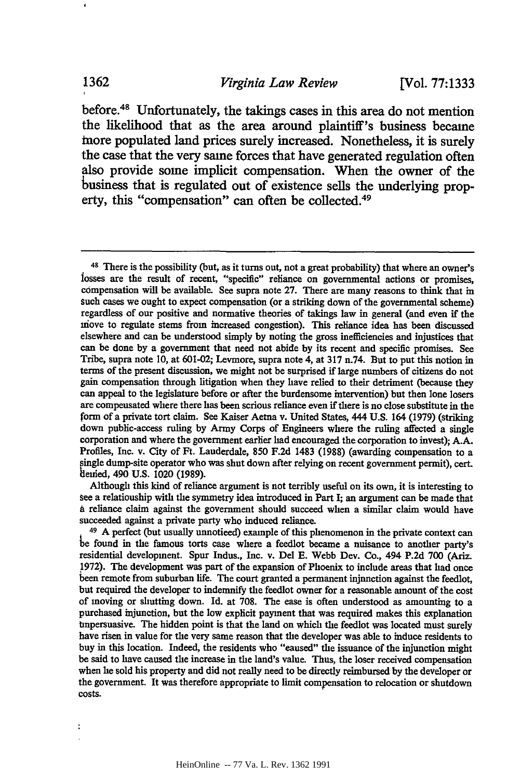before.48 Unfortunately, the takings cases in this area do not mention the likelihood that as the area around plaintiff's business became more populated land prices surely increased. Nonetheless, it is surely the case that the very same forces that have generated regulation often also provide some implicit compensation. When the owner of the business that is regulated out of existence sells the underlying property, this "compensation" can often be collected.<sup>49</sup>

Although this kind of reliance argument is not terribly useful on its own, it is interesting to see a relationship with the symmetry idea introduced in Part I; an argument can be made that 6 reliance claim against the government should succeed when a similar claim would have succeeded against a private party who induced reliance.

<sup>49</sup>A perfect (but usually unnoticed) example of this phenomenon in the private context can be found in the famous torts case where a feedlot became a nuisance to another party's residential development. Spur Indus., Inc. v. Del **E.** Webb Dev. Co., 494 P.2d 700 (Ariz. 1972). The development was part of the expansion of Phoenix to include areas that had once been remote from suburban life. The court granted a permanent injunction against the feedlot, but required the developer to indemnify the feedlot owner for a reasonable amount of the cost of moving or shutting down. Id. at 708. The case is often understood as amounting to a purchased injunction, but the low explicit payment that was required makes this explanation Inpersuasive. The hidden point is that the land on which the feedlot was located must surely have risen in value for the very same reason that the developer was able to induce residents to buy in this location. Indeed, the residents who "caused" the issuance of the injunction might be said to have caused the increase in the land's value. Thus, the loser received compensation when he sold his property and did not really need to be directly reimbursed by the developer or the government. It was therefore appropriate to limit compensation to relocation or shutdown costs.

t

<sup>48</sup> There is the possibility (but, as it turns out, not a great probability) that where an owner's losses are the result of recent, "specific" reliance on governmental actions or promises, compensation will be available. See supra note 27. There are many reasons to think that in such cases we ought to expect compensation (or a striking down of the governmental scheme) regardless of our positive and normative theories of takings law in general (and even if the move to regulate stems from increased congestion). This reliance idea has been discussed elsewhere and can be understood simply **by** noting the gross inefficiencies and injustices that can be done by a government that need not abide **by** its recent and specific promises. See Tribe, supra note 10, at 601-02; Levmore, supra note 4, at 317 n.74. But to put this notion in terms of the present discussion, we might not be surprised if large numbers of citizens do not gain compensation through litigation when they have relied to their detriment (because they can appeal to the legislature before or after the burdensome intervention) but then lone losers are compensated where there has been serious reliance even if there is no close substitute in the form of a private tort claim. See Kaiser Aetna v. United States, 444 U.S. 164 (1979) (striking down public-access ruling by Army Corps of Engineers where the ruling affected a single corporation and where the government earlier had encouraged the corporation to invest); A.A. Profiles, Inc. v. City of Ft. Lauderdale, 850 F.2d 1483 (1988) (awarding compensation to a single dump-site operator who was shut down after relying on recent government permit), cert. 4enied, 490 **U.S.** 1020 (1989).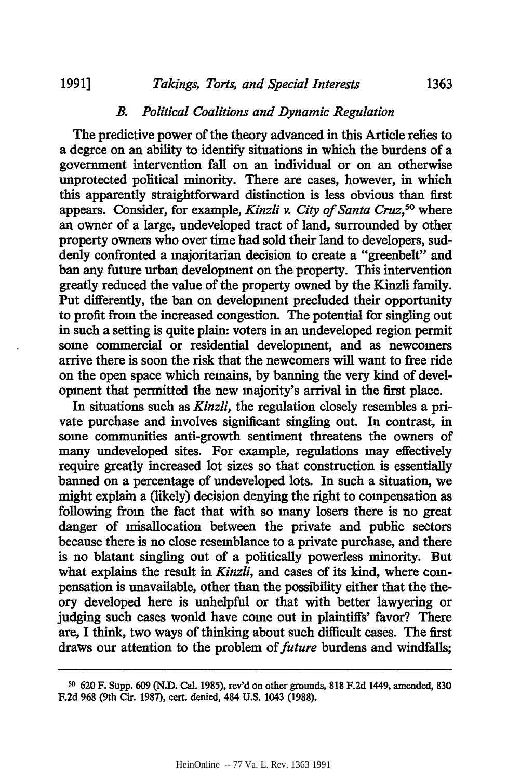# *B. Political Coalitions and Dynamic Regulation*

The predictive power of the theory advanced in this Article relies to a degree on an ability to identify situations in which the burdens of a government intervention fall on an individual or on an otherwise unprotected political minority. There are cases, however, in which this apparently straightforward distinction is less obvious than first appears. Consider, for example, *Kinzli v. City of Santa Cruz*,<sup>50</sup> where an owner of a large, undeveloped tract of land, surrounded by other property owners who over time had sold their land to developers, suddenly confronted a majoritarian decision to create a "greenbelt" and ban any future urban development on the property. This intervention greatly reduced the value of the property owned by the Kinzli family. Put differently, the ban on development precluded their opportunity to profit from the increased congestion. The potential for singling out in such a setting is quite plain: voters in an undeveloped region permit some commercial or residential development, and as newcomers arrive there is soon the risk that the newcomers will want to free ride on the open space which remains, by banning the very kind of development that permitted the new majority's arrival in the first place.

In situations such as *Kinzli,* the regulation closely resembles a private purchase and involves significant singling out. In contrast, in some communities anti-growth sentiment threatens the owners of many undeveloped sites. For example, regulations may effectively require greatly increased lot sizes so that construction is essentially banned on a percentage of undeveloped lots. In such a situation, we might explain a (likely) decision denying the right to compensation as following from the fact that with so many losers there is no great danger of misallocation between the private and public sectors because there is no close resemblance to a private purchase, and there is no blatant singling out of a politically powerless minority. But what explains the result in *Kinzli,* and cases of its kind, where compensation is unavailable, other than the possibility either that the theory developed here is unhelpful or that with better lawyering or judging such cases would have come out in plaintiffs' favor? There are, I think, two ways of thinking about such difficult cases. The first draws our attention to the problem *of future* burdens and windfalls;

**<sup>50</sup>**620 F. Supp. 609 (N.D. Cal. 1985), rev'd on other grounds, 818 F.2d 1449, amended, 830 F.2d 968 (9th Cir. 1987), cert. denied, 484 U.S. 1043 (1988).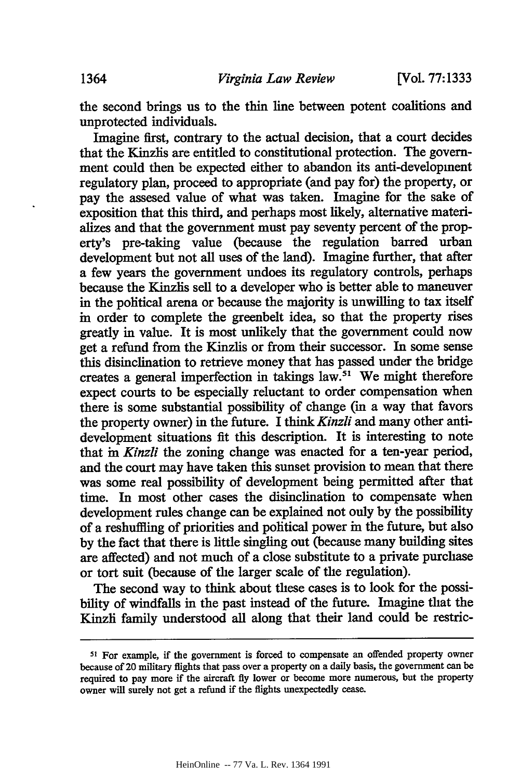the second brings us to the thin line between potent coalitions and unprotected individuals.

Imagine first, contrary to the actual decision, that a court decides that the Kinzlis are entitled to constitutional protection. The government could then be expected either to abandon its anti-development regulatory plan, proceed to appropriate (and pay for) the property, or pay the assesed value of what was taken. Imagine for the sake of exposition that this third, and perhaps most likely, alternative materializes and that the government must pay seventy percent of the property's pre-taking value (because the regulation barred urban development but not all uses of the land). Imagine further, that after a few years the government undoes its regulatory controls, perhaps because the Kinzlis sell to a developer who is better able to maneuver in the political arena or because the majority is unwilling to tax itself in order to complete the greenbelt idea, so that the property rises greatly in value. It is most unlikely that the government could now get a refund from the Kinzlis or from their successor. In some sense this disinclination to retrieve money that has passed under the bridge creates a general imperfection in takings  $law<sup>51</sup>$ . We might therefore expect courts to be especially reluctant to order compensation when there is some substantial possibility of change (in a way that favors the property owner) in the future. I think *Kinzli* and many other antidevelopment situations fit this description. It is interesting to note that in *Kinzli* the zoning change was enacted for a ten-year period, and the court may have taken this sunset provision to mean that there was some real possibility of development being permitted after that time. In most other cases the disinclination to compensate when development rules change can be explained not only by the possibility of a reshuffling of priorities and political power in the future, but also by the fact that there is little singling out (because many building sites are affected) and not much of a close substitute to a private purchase or tort suit (because of the larger scale of the regulation).

The second way to think about these cases is to look for the possibility of windfalls in the past instead of the future. Imagine that the Kinzli family understood all along that their land could be restric-

<sup>&</sup>lt;sup>51</sup> For example, if the government is forced to compensate an offended property owner because of 20 military flights that pass over a property on a daily basis, the government can be required to pay more if the aircraft **fly** lower or become more numerous, but the property owner will surely not get a refund if the flights unexpectedly cease.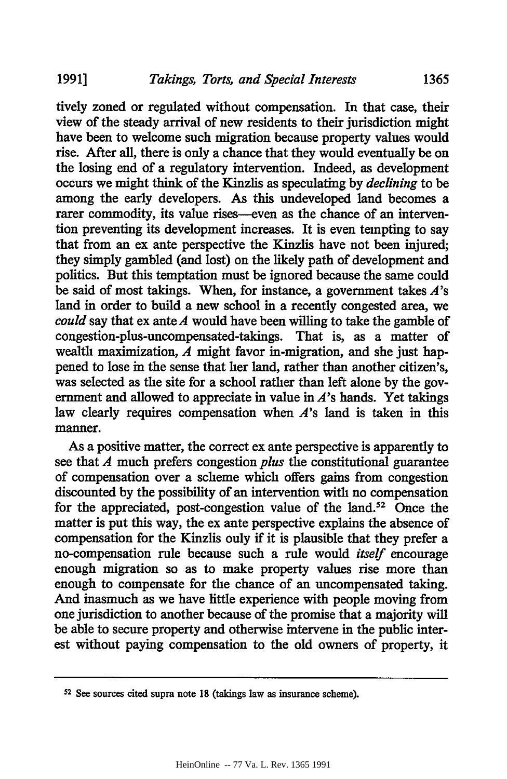tively zoned or regulated without compensation. In that case, their view of the steady arrival of new residents to their jurisdiction might have been to welcome such migration because property values would rise. After all, there is only a chance that they would eventually be on the losing end of a regulatory intervention. Indeed, as development occurs we might think of the Kinzlis as speculating by *declining* to be among the early developers. As this undeveloped land becomes a rarer commodity, its value rises---even as the chance of an intervention preventing its development increases. It is even tempting to say that from an ex ante perspective the Kinzlis have not been injured; they simply gambled (and lost) on the likely path of development and politics. But this temptation must be ignored because the same could be said of most takings. When, for instance, a government takes *A's* land in order to build a new school in a recently congested area, we *could* say that ex ante *A* would have been willing to take the gamble of congestion-plus-uncompensated-takings. That is, as a matter of wealth maximization, *A* might favor in-migration, and she just happened to lose in the sense that her land, rather than another citizen's, was selected as the site for a school rather than left alone by the government and allowed to appreciate in value in *A's* hands. Yet takings law clearly requires compensation when  $A$ 's land is taken in this manner.

As a positive matter, the correct ex ante perspective is apparently to see that *A* much prefers congestion *plus* the constitutional guarantee of compensation over a scheme which offers gains from congestion discounted by the possibility of an intervention with no compensation for the appreciated, post-congestion value of the land.<sup>52</sup> Once the matter is put this way, the ex ante perspective explains the absence of compensation for the Kinzlis only if it is plausible that they prefer a no-compensation rule because such a rule would *itself* encourage enough migration so as to make property values rise more than enough to compensate for the chance of an uncompensated taking. And inasmuch as we have little experience with people moving from one jurisdiction to another because of the promise that a majority will be able to secure property and otherwise intervene in the public interest without paying compensation to the old owners of property, it

<sup>52</sup> See sources cited supra note 18 (takings law as insurance scheme).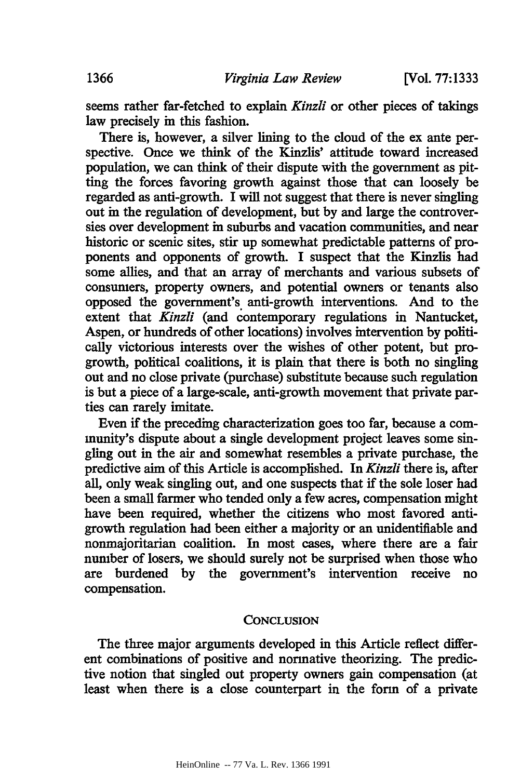seems rather far-fetched to explain *Kinzli* or other pieces of takings law precisely in this fashion.

There is, however, a silver lining to the cloud of the ex ante perspective. Once we think of the Kinzlis' attitude toward increased population, we can think of their dispute with the government as pitting the forces favoring growth against those that can loosely be regarded as anti-growth. I will not suggest that there is never singling out in the regulation of development, but **by** and large the controversies over development in suburbs and vacation communities, and near historic or scenic sites, stir up somewhat predictable patterns of proponents and opponents of growth. **I** suspect that the Kinzlis had some allies, and that an array of merchants and various subsets of consumers, property owners, and potential owners or tenants also opposed the government's anti-growth interventions. And to the extent that *Kinzli* (and contemporary regulations in Nantucket, Aspen, or hundreds of other locations) involves intervention **by** politically victorious interests over the wishes of other potent, but progrowth, political coalitions, it is plain that there is both no singling out and no close private (purchase) substitute because such regulation is but a piece of a large-scale, anti-growth movement that private parties can rarely imitate.

Even **if** the preceding characterization goes too far, because a community's dispute about a single development project leaves some singling out in the air and somewhat resembles a private purchase, the predictive aim of this Article is accomplished. In *Kinzli* there is, after all, only weak singling out, and one suspects that if the sole loser had been a small farmer who tended only a few acres, compensation might have been required, whether the citizens who most favored antigrowth regulation had been either a majority or an unidentifiable and nonmajoritarian coalition. In most cases, where there are a fair number of losers, we should surely not be surprised when those who are burdened **by** the government's intervention receive no compensation.

#### **CONCLUSION**

The three major arguments developed in this Article reflect different combinations of positive and normative theorizing. The predictive notion that singled out property owners gain compensation (at least when there is a close counterpart in the form of a private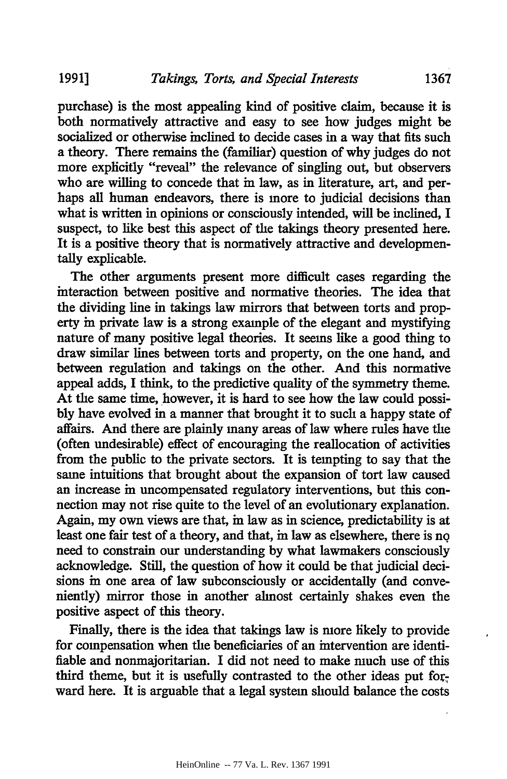purchase) is the most appealing kind of positive claim, because it is both normatively attractive and easy to see how judges might be socialized or otherwise inclined to decide cases in a way that fits such a theory. There remains the (familiar) question of why judges do not more explicitly "reveal" the relevance of singling out, but observers who are willing to concede that in law, as in literature, art, and perhaps all human endeavors, there is more to judicial decisions than what is written in opinions or consciously intended, will be inclined, I suspect, to like best this aspect of the takings theory presented here. It is a positive theory that is normatively attractive and developmentally explicable.

The other arguments present more difficult cases regarding the interaction between positive and normative theories. The idea that the dividing line in takings law mirrors that between torts and property in private law is a strong example of the elegant and mystifying nature of many positive legal theories. It seems like a good thing to draw similar lines between torts and property, on the one hand, and between regulation and takings on the other. And this normative appeal adds, I think, to the predictive quality of the symmetry theme. At the same time, however, it is hard to see how the law could possibly have evolved in a manner that brought it to such a happy state of affairs. And there are plainly many areas of law where rules have the (often undesirable) effect of encouraging the reallocation of activities from the public to the private sectors. It is tempting to say that the same intuitions that brought about the expansion of tort law caused an increase in uncompensated regulatory interventions, but this connection may not rise quite to the level of an evolutionary explanation. Again, my own views are that, in law as in science, predictability is at least one fair test of a theory, and that, in law as elsewhere, there is no need to constrain our understanding by what lawmakers consciously acknowledge. Still, the question of how it could be that judicial decisions in one area of law subconsciously or accidentally (and conveniently) mirror those in another almost certainly shakes even the positive aspect of this theory.

Finally, there is the idea that takings law is more likely to provide for compensation when the beneficiaries of an intervention are identifiable and nonmajoritarian. I did not need to make much use of this third theme, but it is usefully contrasted to the other ideas put forward here. It is arguable that a legal system should balance the costs